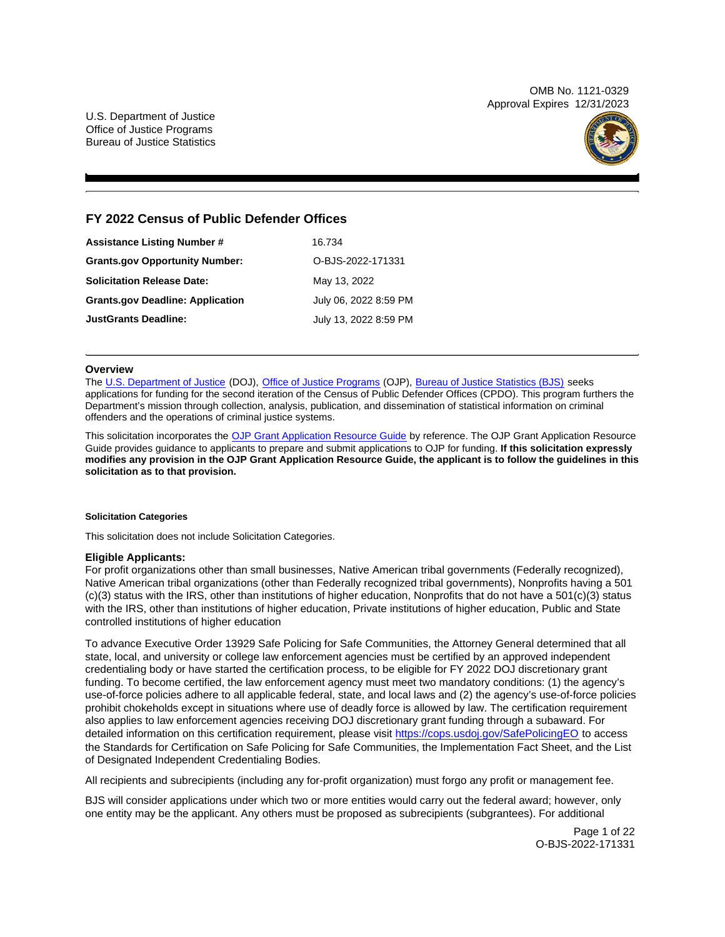OMB No. 1121-0329 Approval Expires 12/31/2023

U.S. Department of Justice Office of Justice Programs Bureau of Justice Statistics



# **FY 2022 Census of Public Defender Offices**

| <b>Assistance Listing Number #</b>      | 16.734                |
|-----------------------------------------|-----------------------|
| <b>Grants.gov Opportunity Number:</b>   | O-BJS-2022-171331     |
| <b>Solicitation Release Date:</b>       | May 13, 2022          |
| <b>Grants.gov Deadline: Application</b> | July 06, 2022 8:59 PM |
| <b>JustGrants Deadline:</b>             | July 13, 2022 8:59 PM |

#### **Overview**

The [U.S. Department of Justice](https://www.usdoj.gov/) (DOJ), [Office of Justice Programs](https://www.ojp.gov) (OJP), [Bureau of Justice Statistics \(BJS\)](https://bjs.ojp.gov/) seeks applications for funding for the second iteration of the Census of Public Defender Offices (CPDO). This program furthers the Department's mission through collection, analysis, publication, and dissemination of statistical information on criminal offenders and the operations of criminal justice systems.

This solicitation incorporates the [OJP Grant Application Resource Guide](https://www.ojp.gov/funding/Apply/Resources/Grant-App-Resource-Guide.htm) by reference. The OJP Grant Application Resource Guide provides guidance to applicants to prepare and submit applications to OJP for funding. **If this solicitation expressly modifies any provision in the OJP Grant Application Resource Guide, the applicant is to follow the guidelines in this solicitation as to that provision.** 

#### **Solicitation Categories**

This solicitation does not include Solicitation Categories.

#### **Eligible Applicants:**

For profit organizations other than small businesses, Native American tribal governments (Federally recognized), Native American tribal organizations (other than Federally recognized tribal governments), Nonprofits having a 501 (c)(3) status with the IRS, other than institutions of higher education, Nonprofits that do not have a 501(c)(3) status with the IRS, other than institutions of higher education, Private institutions of higher education, Public and State controlled institutions of higher education

To advance Executive Order 13929 Safe Policing for Safe Communities, the Attorney General determined that all state, local, and university or college law enforcement agencies must be certified by an approved independent credentialing body or have started the certification process, to be eligible for FY 2022 DOJ discretionary grant funding. To become certified, the law enforcement agency must meet two mandatory conditions: (1) the agency's use-of-force policies adhere to all applicable federal, state, and local laws and (2) the agency's use-of-force policies prohibit chokeholds except in situations where use of deadly force is allowed by law. The certification requirement also applies to law enforcement agencies receiving DOJ discretionary grant funding through a subaward. For detailed information on this certification requirement, please visit <https://cops.usdoj.gov/SafePolicingEO>to access the Standards for Certification on Safe Policing for Safe Communities, the Implementation Fact Sheet, and the List of Designated Independent Credentialing Bodies.

All recipients and subrecipients (including any for-profit organization) must forgo any profit or management fee.

BJS will consider applications under which two or more entities would carry out the federal award; however, only one entity may be the applicant. Any others must be proposed as subrecipients (subgrantees). For additional

> Page 1 of 22 O-BJS-2022-171331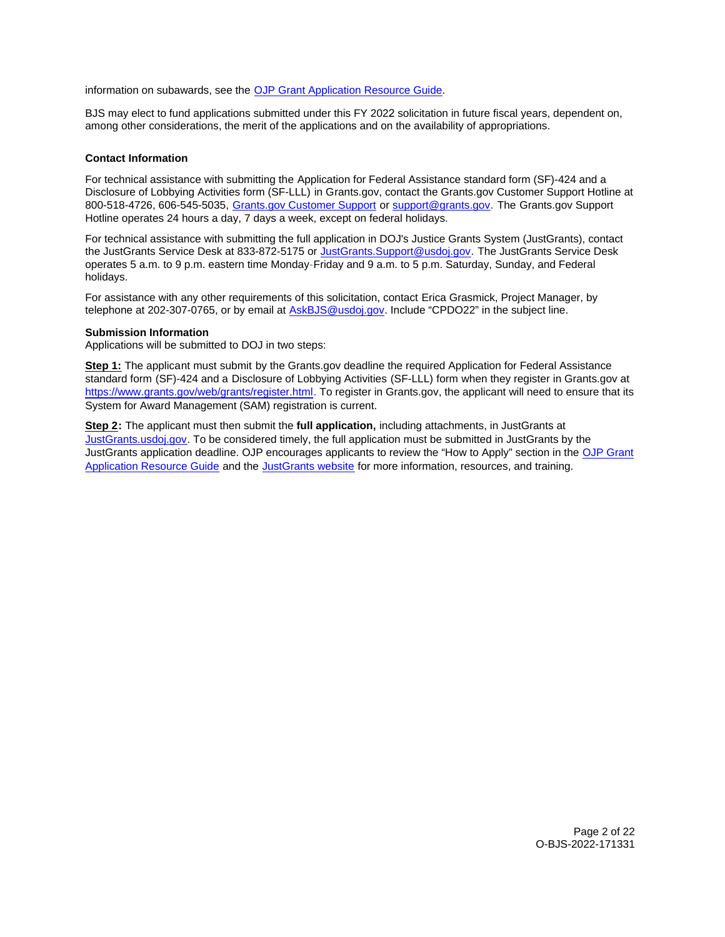<span id="page-1-0"></span>information on subawards, see the [OJP Grant Application Resource Guide.](https://www.ojp.gov/funding/Apply/Resources/Grant-App-Resource-Guide.htm)

BJS may elect to fund applications submitted under this FY 2022 solicitation in future fiscal years, dependent on, among other considerations, the merit of the applications and on the availability of appropriations.

# **Contact Information**

For technical assistance with submitting the Application for Federal Assistance standard form (SF)-424 and a Disclosure of Lobbying Activities form (SF-LLL) in [Grants.gov](https://Grants.gov), contact the [Grants.gov](https://Grants.gov) Customer Support Hotline at 800-518-4726, 606-545-5035, [Grants.gov Customer Support](https://www.grants.gov/web/grants/support.html) or [support@grants.gov.](mailto:support@grants.gov) The [Grants.gov](https://Grants.gov) Support Hotline operates 24 hours a day, 7 days a week, except on federal holidays.

For technical assistance with submitting the full application in DOJ's Justice Grants System (JustGrants), contact the JustGrants Service Desk at 833-872-5175 or [JustGrants.Support@usdoj.gov.](mailto:JustGrants.Support@usdoj.gov) The JustGrants Service Desk operates 5 a.m. to 9 p.m. eastern time Monday-Friday and 9 a.m. to 5 p.m. Saturday, Sunday, and Federal holidays.

For assistance with any other requirements of this solicitation, contact Erica Grasmick, Project Manager, by telephone at 202-307-0765, or by email at [AskBJS@usdoj.gov.](mailto:AskBJS@usdoj.gov?subject=CPDO22) Include "CPDO22" in the subject line.

# **Submission Information**

Applications will be submitted to DOJ in two steps:

**Step 1:** The applicant must submit by the [Grants.gov](https://Grants.gov) deadline the required Application for Federal Assistance standard form (SF)-424 and a Disclosure of Lobbying Activities (SF-LLL) form when they register in [Grants.gov](https://Grants.gov) at [https://www.grants.gov/web/grants/register.html.](https://www.grants.gov/web/grants/register.html) To register in [Grants.gov,](https://Grants.gov) the applicant will need to ensure that its System for Award Management (SAM) registration is current.

**Step 2:** The applicant must then submit the **full application,** including attachments, in JustGrants at [JustGrants.usdoj.gov.](https://justicegrants.usdoj.gov/) To be considered timely, the full application must be submitted in JustGrants by the JustGrants application deadline. OJP encourages applicants to review the "How to Apply" section in the [OJP Grant](https://www.ojp.gov/funding/apply/ojp-grant-application-resource-guide#apply) [Application Resource Guide](https://www.ojp.gov/funding/apply/ojp-grant-application-resource-guide#apply) and the [JustGrants website](https://justicegrants.usdoj.gov/news) for more information, resources, and training.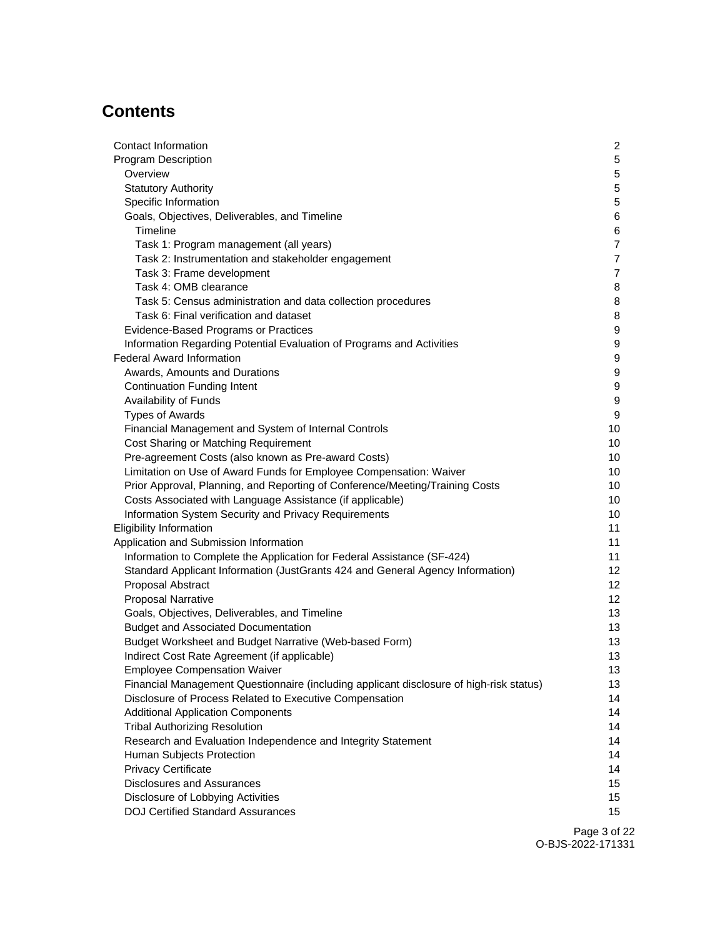# **Contents**

| Contact Information                                                                     | $\mathbf{2}$     |
|-----------------------------------------------------------------------------------------|------------------|
| <b>Program Description</b>                                                              | 5                |
| Overview                                                                                | 5                |
| <b>Statutory Authority</b>                                                              | 5                |
| Specific Information                                                                    | 5                |
| Goals, Objectives, Deliverables, and Timeline                                           | 6                |
| Timeline                                                                                | 6                |
| Task 1: Program management (all years)                                                  | $\overline{7}$   |
| Task 2: Instrumentation and stakeholder engagement                                      | $\overline{7}$   |
| Task 3: Frame development                                                               | $\overline{7}$   |
| Task 4: OMB clearance                                                                   | 8                |
| Task 5: Census administration and data collection procedures                            | 8                |
| Task 6: Final verification and dataset                                                  | 8                |
| <b>Evidence-Based Programs or Practices</b>                                             | 9                |
| Information Regarding Potential Evaluation of Programs and Activities                   | 9                |
| <b>Federal Award Information</b>                                                        | 9                |
| Awards, Amounts and Durations                                                           | 9                |
| <b>Continuation Funding Intent</b>                                                      | $\boldsymbol{9}$ |
| Availability of Funds                                                                   | $\boldsymbol{9}$ |
| <b>Types of Awards</b>                                                                  | 9                |
| Financial Management and System of Internal Controls                                    | 10               |
| Cost Sharing or Matching Requirement                                                    | 10               |
| Pre-agreement Costs (also known as Pre-award Costs)                                     | 10               |
| Limitation on Use of Award Funds for Employee Compensation: Waiver                      | 10               |
| Prior Approval, Planning, and Reporting of Conference/Meeting/Training Costs            | 10               |
| Costs Associated with Language Assistance (if applicable)                               | 10               |
| Information System Security and Privacy Requirements                                    | 10               |
| <b>Eligibility Information</b>                                                          | 11               |
| Application and Submission Information                                                  | 11               |
| Information to Complete the Application for Federal Assistance (SF-424)                 | 11               |
| Standard Applicant Information (JustGrants 424 and General Agency Information)          | 12 <sup>2</sup>  |
| Proposal Abstract                                                                       | 12               |
| <b>Proposal Narrative</b>                                                               | 12 <sup>2</sup>  |
| Goals, Objectives, Deliverables, and Timeline                                           | 13               |
| <b>Budget and Associated Documentation</b>                                              | 13               |
| Budget Worksheet and Budget Narrative (Web-based Form)                                  | 13               |
| Indirect Cost Rate Agreement (if applicable)                                            | 13               |
| <b>Employee Compensation Waiver</b>                                                     | 13               |
| Financial Management Questionnaire (including applicant disclosure of high-risk status) | 13               |
| Disclosure of Process Related to Executive Compensation                                 | 14               |
| <b>Additional Application Components</b>                                                | 14               |
| <b>Tribal Authorizing Resolution</b>                                                    | 14               |
| Research and Evaluation Independence and Integrity Statement                            | 14               |
| Human Subjects Protection                                                               | 14               |
| <b>Privacy Certificate</b>                                                              | 14               |
| <b>Disclosures and Assurances</b>                                                       | 15               |
| Disclosure of Lobbying Activities                                                       | 15               |
| <b>DOJ Certified Standard Assurances</b>                                                | 15 <sub>1</sub>  |
|                                                                                         |                  |

Page 3 of 22 O-BJS-2022-171331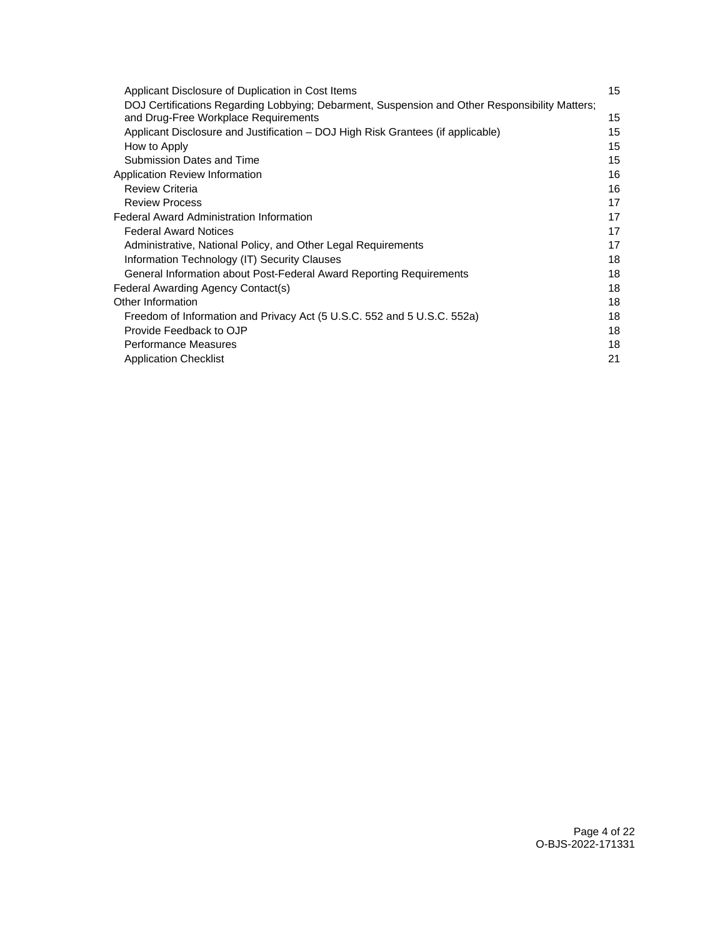| Applicant Disclosure of Duplication in Cost Items                                              | 15 |
|------------------------------------------------------------------------------------------------|----|
| DOJ Certifications Regarding Lobbying; Debarment, Suspension and Other Responsibility Matters; |    |
| and Drug-Free Workplace Requirements                                                           | 15 |
| Applicant Disclosure and Justification – DOJ High Risk Grantees (if applicable)                | 15 |
| How to Apply                                                                                   | 15 |
| Submission Dates and Time                                                                      | 15 |
| Application Review Information                                                                 | 16 |
| <b>Review Criteria</b>                                                                         | 16 |
| <b>Review Process</b>                                                                          | 17 |
| Federal Award Administration Information                                                       | 17 |
| <b>Federal Award Notices</b>                                                                   | 17 |
| Administrative, National Policy, and Other Legal Requirements                                  | 17 |
| Information Technology (IT) Security Clauses                                                   | 18 |
| General Information about Post-Federal Award Reporting Requirements                            | 18 |
| Federal Awarding Agency Contact(s)                                                             | 18 |
| Other Information                                                                              | 18 |
| Freedom of Information and Privacy Act (5 U.S.C. 552 and 5 U.S.C. 552a)                        | 18 |
| Provide Feedback to OJP                                                                        | 18 |
| <b>Performance Measures</b>                                                                    | 18 |
| <b>Application Checklist</b>                                                                   | 21 |
|                                                                                                |    |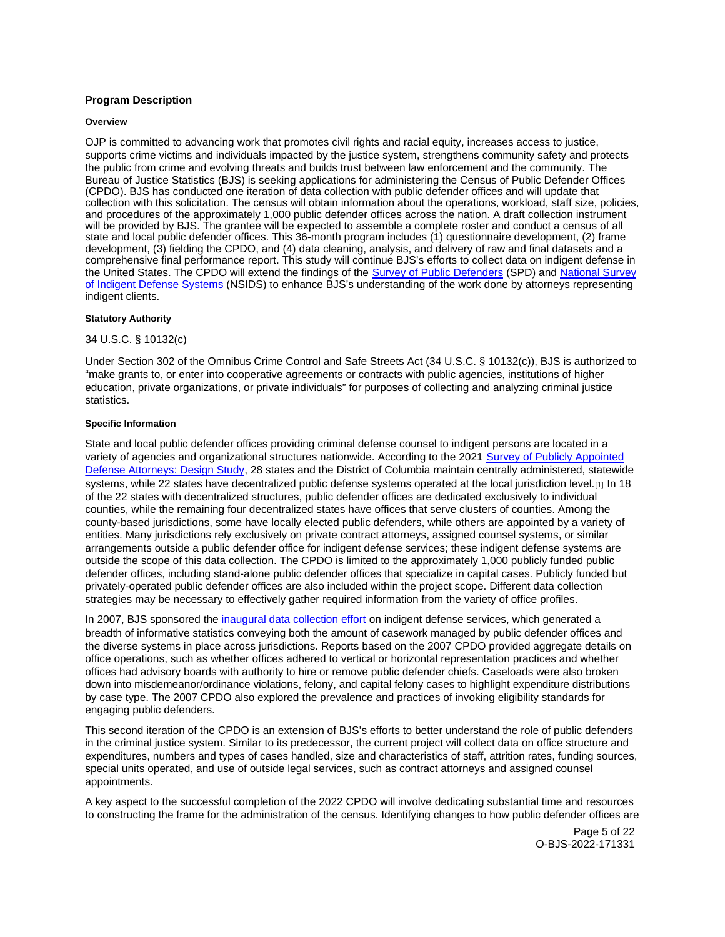# <span id="page-4-0"></span>**Program Description**

#### **Overview**

OJP is committed to advancing work that promotes civil rights and racial equity, increases access to justice, supports crime victims and individuals impacted by the justice system, strengthens community safety and protects the public from crime and evolving threats and builds trust between law enforcement and the community. The Bureau of Justice Statistics (BJS) is seeking applications for administering the Census of Public Defender Offices (CPDO). BJS has conducted one iteration of data collection with public defender offices and will update that collection with this solicitation. The census will obtain information about the operations, workload, staff size, policies, and procedures of the approximately 1,000 public defender offices across the nation. A draft collection instrument will be provided by BJS. The grantee will be expected to assemble a complete roster and conduct a census of all state and local public defender offices. This 36-month program includes (1) questionnaire development, (2) frame development, (3) fielding the CPDO, and (4) data cleaning, analysis, and delivery of raw and final datasets and a comprehensive final performance report. This study will continue BJS's efforts to collect data on indigent defense in the United States. The CPDO will extend the findings of the [Survey of Public Defenders](https://bjs.ojp.gov/topics/courts/indigent-defense) (SPD) and National Survey [of Indigent Defense Systems \(](https://bjs.ojp.gov/data-collection/national-survey-indigent-defense-systems-nsids-2013)NSIDS) to enhance BJS's understanding of the work done by attorneys representing indigent clients.

#### **Statutory Authority**

# 34 U.S.C. § 10132(c)

Under Section 302 of the Omnibus Crime Control and Safe Streets Act (34 U.S.C. § 10132(c)), BJS is authorized to "make grants to, or enter into cooperative agreements or contracts with public agencies, institutions of higher education, private organizations, or private individuals" for purposes of collecting and analyzing criminal justice statistics.

## **Specific Information**

State and local public defender offices providing criminal defense counsel to indigent persons are located in a variety of agencies and organizational structures nationwide. According to the 2021 [Survey of Publicly Appointed](https://www.ojp.gov/pdffiles1/bjs/grants/252676.pdf)  [Defense Attorneys: Design Study,](https://www.ojp.gov/pdffiles1/bjs/grants/252676.pdf) 28 states and the District of Columbia maintain centrally administered, statewide systems, while 22 states have decentralized public defense systems operated at the local jurisdiction level.[1] In 18 of the 22 states with decentralized structures, public defender offices are dedicated exclusively to individual counties, while the remaining four decentralized states have offices that serve clusters of counties. Among the county-based jurisdictions, some have locally elected public defenders, while others are appointed by a variety of entities. Many jurisdictions rely exclusively on private contract attorneys, assigned counsel systems, or similar arrangements outside a public defender office for indigent defense services; these indigent defense systems are outside the scope of this data collection. The CPDO is limited to the approximately 1,000 publicly funded public defender offices, including stand-alone public defender offices that specialize in capital cases. Publicly funded but privately-operated public defender offices are also included within the project scope. Different data collection strategies may be necessary to effectively gather required information from the variety of office profiles.

In 2007. BJS sponsored the [inaugural data collection effort](https://bjs.ojp.gov/data-collection/census-public-defender-offices-cpdo) on indigent defense services, which generated a breadth of informative statistics conveying both the amount of casework managed by public defender offices and the diverse systems in place across jurisdictions. Reports based on the 2007 CPDO provided aggregate details on office operations, such as whether offices adhered to vertical or horizontal representation practices and whether offices had advisory boards with authority to hire or remove public defender chiefs. Caseloads were also broken down into misdemeanor/ordinance violations, felony, and capital felony cases to highlight expenditure distributions by case type. The 2007 CPDO also explored the prevalence and practices of invoking eligibility standards for engaging public defenders.

This second iteration of the CPDO is an extension of BJS's efforts to better understand the role of public defenders in the criminal justice system. Similar to its predecessor, the current project will collect data on office structure and expenditures, numbers and types of cases handled, size and characteristics of staff, attrition rates, funding sources, special units operated, and use of outside legal services, such as contract attorneys and assigned counsel appointments.

A key aspect to the successful completion of the 2022 CPDO will involve dedicating substantial time and resources to constructing the frame for the administration of the census. Identifying changes to how public defender offices are

> Page 5 of 22 O-BJS-2022-171331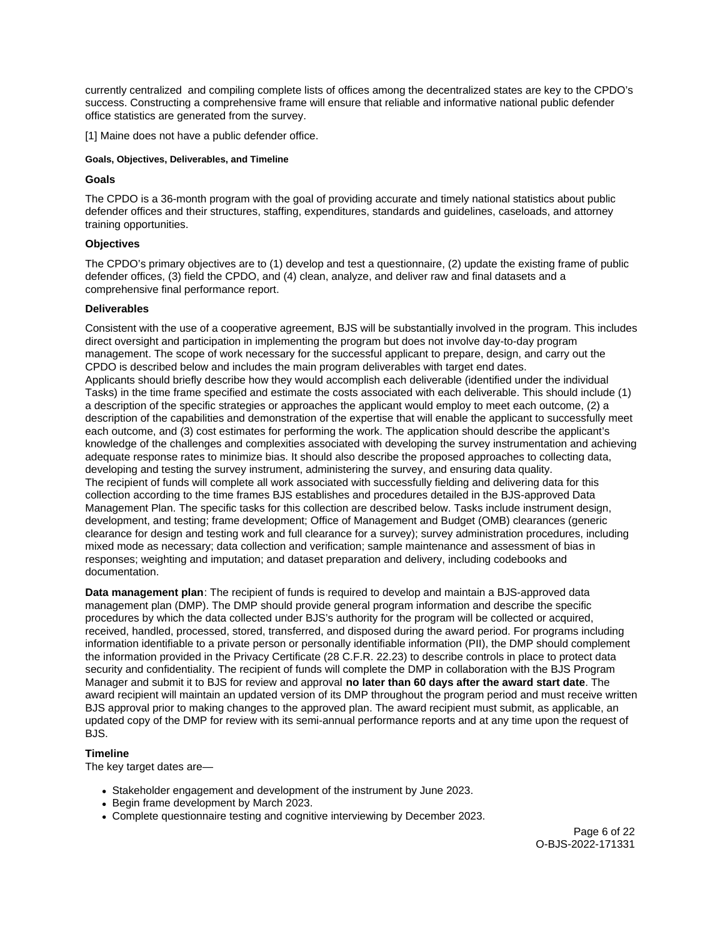<span id="page-5-0"></span>currently centralized and compiling complete lists of offices among the decentralized states are key to the CPDO's success. Constructing a comprehensive frame will ensure that reliable and informative national public defender office statistics are generated from the survey.

[1] Maine does not have a public defender office.

# **Goals, Objectives, Deliverables, and Timeline**

# **Goals**

The CPDO is a 36-month program with the goal of providing accurate and timely national statistics about public defender offices and their structures, staffing, expenditures, standards and guidelines, caseloads, and attorney training opportunities.

# **Objectives**

The CPDO's primary objectives are to (1) develop and test a questionnaire, (2) update the existing frame of public defender offices, (3) field the CPDO, and (4) clean, analyze, and deliver raw and final datasets and a comprehensive final performance report.

# **Deliverables**

Consistent with the use of a cooperative agreement. BJS will be substantially involved in the program. This includes direct oversight and participation in implementing the program but does not involve day-to-day program management. The scope of work necessary for the successful applicant to prepare, design, and carry out the CPDO is described below and includes the main program deliverables with target end dates. Applicants should briefly describe how they would accomplish each deliverable (identified under the individual Tasks) in the time frame specified and estimate the costs associated with each deliverable. This should include (1) a description of the specific strategies or approaches the applicant would employ to meet each outcome, (2) a description of the capabilities and demonstration of the expertise that will enable the applicant to successfully meet each outcome, and (3) cost estimates for performing the work. The application should describe the applicant's knowledge of the challenges and complexities associated with developing the survey instrumentation and achieving adequate response rates to minimize bias. It should also describe the proposed approaches to collecting data, developing and testing the survey instrument, administering the survey, and ensuring data quality. The recipient of funds will complete all work associated with successfully fielding and delivering data for this collection according to the time frames BJS establishes and procedures detailed in the BJS-approved Data Management Plan. The specific tasks for this collection are described below. Tasks include instrument design, development, and testing; frame development; Office of Management and Budget (OMB) clearances (generic clearance for design and testing work and full clearance for a survey); survey administration procedures, including mixed mode as necessary; data collection and verification; sample maintenance and assessment of bias in responses; weighting and imputation; and dataset preparation and delivery, including codebooks and documentation.

**Data management plan**: The recipient of funds is required to develop and maintain a BJS-approved data management plan (DMP). The DMP should provide general program information and describe the specific procedures by which the data collected under BJS's authority for the program will be collected or acquired, received, handled, processed, stored, transferred, and disposed during the award period. For programs including information identifiable to a private person or personally identifiable information (PII), the DMP should complement the information provided in the Privacy Certificate (28 C.F.R. 22.23) to describe controls in place to protect data security and confidentiality. The recipient of funds will complete the DMP in collaboration with the BJS Program Manager and submit it to BJS for review and approval **no later than 60 days after the award start date**. The award recipient will maintain an updated version of its DMP throughout the program period and must receive written BJS approval prior to making changes to the approved plan. The award recipient must submit, as applicable, an updated copy of the DMP for review with its semi-annual performance reports and at any time upon the request of BJS.

# **Timeline**

The key target dates are—

- Stakeholder engagement and development of the instrument by June 2023.
- Begin frame development by March 2023.
- Complete questionnaire testing and cognitive interviewing by December 2023.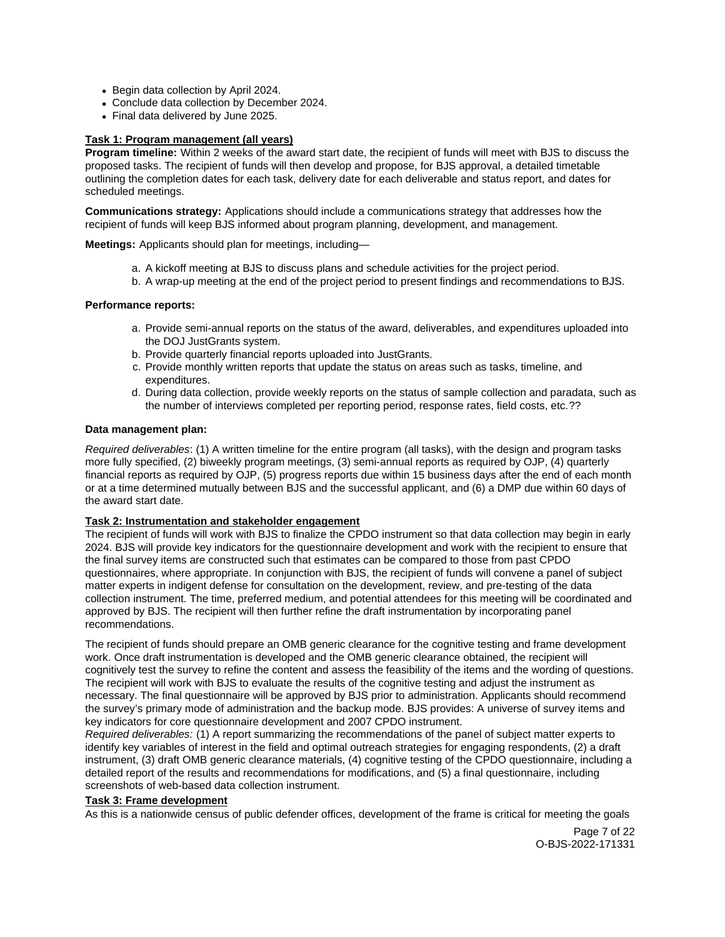- <span id="page-6-0"></span>• Begin data collection by April 2024.
- Conclude data collection by December 2024.
- Final data delivered by June 2025.

# **Task 1: Program management (all years)**

**Program timeline:** Within 2 weeks of the award start date, the recipient of funds will meet with BJS to discuss the proposed tasks. The recipient of funds will then develop and propose, for BJS approval, a detailed timetable outlining the completion dates for each task, delivery date for each deliverable and status report, and dates for scheduled meetings.

**Communications strategy:** Applications should include a communications strategy that addresses how the recipient of funds will keep BJS informed about program planning, development, and management.

**Meetings:** Applicants should plan for meetings, including—

- a. A kickoff meeting at BJS to discuss plans and schedule activities for the project period.
- b. A wrap-up meeting at the end of the project period to present findings and recommendations to BJS.

# **Performance reports:**

- a. Provide semi-annual reports on the status of the award, deliverables, and expenditures uploaded into the DOJ JustGrants system.
- b. Provide quarterly financial reports uploaded into JustGrants.
- c. Provide monthly written reports that update the status on areas such as tasks, timeline, and expenditures.
- d. During data collection, provide weekly reports on the status of sample collection and paradata, such as the number of interviews completed per reporting period, response rates, field costs, etc.??

# **Data management plan:**

Required deliverables: (1) A written timeline for the entire program (all tasks), with the design and program tasks more fully specified, (2) biweekly program meetings, (3) semi-annual reports as required by OJP, (4) quarterly financial reports as required by OJP, (5) progress reports due within 15 business days after the end of each month or at a time determined mutually between BJS and the successful applicant, and (6) a DMP due within 60 days of the award start date.

# **Task 2: Instrumentation and stakeholder engagement**

The recipient of funds will work with BJS to finalize the CPDO instrument so that data collection may begin in early 2024. BJS will provide key indicators for the questionnaire development and work with the recipient to ensure that the final survey items are constructed such that estimates can be compared to those from past CPDO questionnaires, where appropriate. In conjunction with BJS, the recipient of funds will convene a panel of subject matter experts in indigent defense for consultation on the development, review, and pre-testing of the data collection instrument. The time, preferred medium, and potential attendees for this meeting will be coordinated and approved by BJS. The recipient will then further refine the draft instrumentation by incorporating panel recommendations.

The recipient of funds should prepare an OMB generic clearance for the cognitive testing and frame development work. Once draft instrumentation is developed and the OMB generic clearance obtained, the recipient will cognitively test the survey to refine the content and assess the feasibility of the items and the wording of questions. The recipient will work with BJS to evaluate the results of the cognitive testing and adjust the instrument as necessary. The final questionnaire will be approved by BJS prior to administration. Applicants should recommend the survey's primary mode of administration and the backup mode. BJS provides: A universe of survey items and key indicators for core questionnaire development and 2007 CPDO instrument.

Required deliverables: (1) A report summarizing the recommendations of the panel of subject matter experts to identify key variables of interest in the field and optimal outreach strategies for engaging respondents, (2) a draft instrument, (3) draft OMB generic clearance materials, (4) cognitive testing of the CPDO questionnaire, including a detailed report of the results and recommendations for modifications, and (5) a final questionnaire, including screenshots of web-based data collection instrument.

# **Task 3: Frame development**

As this is a nationwide census of public defender offices, development of the frame is critical for meeting the goals

Page 7 of 22 O-BJS-2022-171331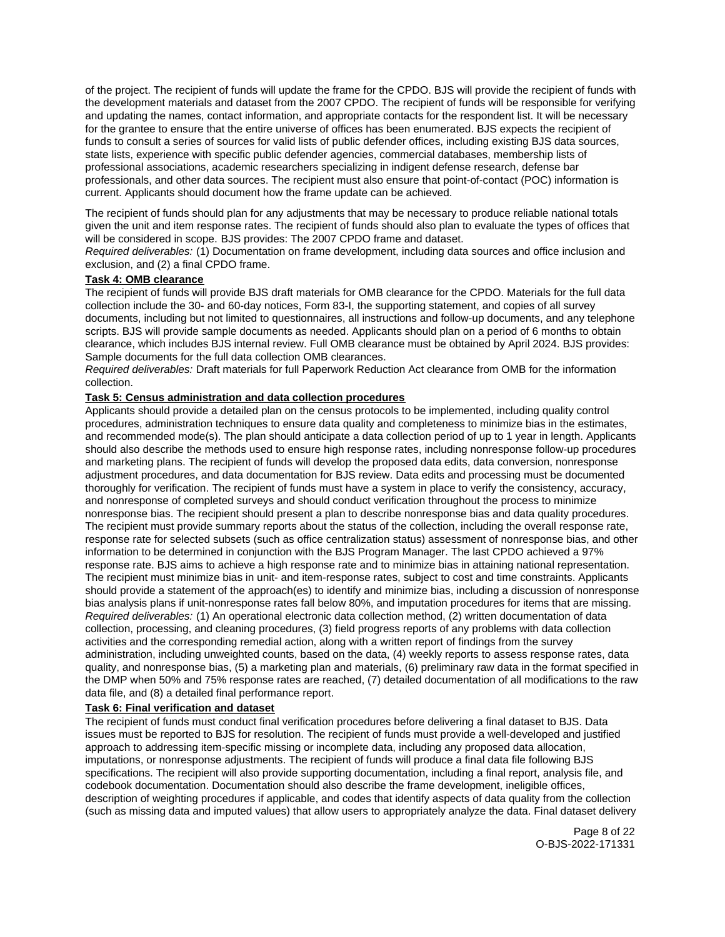<span id="page-7-0"></span>of the project. The recipient of funds will update the frame for the CPDO. BJS will provide the recipient of funds with the development materials and dataset from the 2007 CPDO. The recipient of funds will be responsible for verifying and updating the names, contact information, and appropriate contacts for the respondent list. It will be necessary for the grantee to ensure that the entire universe of offices has been enumerated. BJS expects the recipient of funds to consult a series of sources for valid lists of public defender offices, including existing BJS data sources, state lists, experience with specific public defender agencies, commercial databases, membership lists of professional associations, academic researchers specializing in indigent defense research, defense bar professionals, and other data sources. The recipient must also ensure that point-of-contact (POC) information is current. Applicants should document how the frame update can be achieved.

The recipient of funds should plan for any adjustments that may be necessary to produce reliable national totals given the unit and item response rates. The recipient of funds should also plan to evaluate the types of offices that will be considered in scope. BJS provides: The 2007 CPDO frame and dataset.

Required deliverables: (1) Documentation on frame development, including data sources and office inclusion and exclusion, and (2) a final CPDO frame.

# **Task 4: OMB clearance**

The recipient of funds will provide BJS draft materials for OMB clearance for the CPDO. Materials for the full data collection include the 30- and 60-day notices, Form 83-I, the supporting statement, and copies of all survey documents, including but not limited to questionnaires, all instructions and follow-up documents, and any telephone scripts. BJS will provide sample documents as needed. Applicants should plan on a period of 6 months to obtain clearance, which includes BJS internal review. Full OMB clearance must be obtained by April 2024. BJS provides: Sample documents for the full data collection OMB clearances.

Required deliverables: Draft materials for full Paperwork Reduction Act clearance from OMB for the information collection.

# **Task 5: Census administration and data collection procedures**

Applicants should provide a detailed plan on the census protocols to be implemented, including quality control procedures, administration techniques to ensure data quality and completeness to minimize bias in the estimates, and recommended mode(s). The plan should anticipate a data collection period of up to 1 year in length. Applicants should also describe the methods used to ensure high response rates, including nonresponse follow-up procedures and marketing plans. The recipient of funds will develop the proposed data edits, data conversion, nonresponse adjustment procedures, and data documentation for BJS review. Data edits and processing must be documented thoroughly for verification. The recipient of funds must have a system in place to verify the consistency, accuracy, and nonresponse of completed surveys and should conduct verification throughout the process to minimize nonresponse bias. The recipient should present a plan to describe nonresponse bias and data quality procedures. The recipient must provide summary reports about the status of the collection, including the overall response rate, response rate for selected subsets (such as office centralization status) assessment of nonresponse bias, and other information to be determined in conjunction with the BJS Program Manager. The last CPDO achieved a 97% response rate. BJS aims to achieve a high response rate and to minimize bias in attaining national representation. The recipient must minimize bias in unit- and item-response rates, subject to cost and time constraints. Applicants should provide a statement of the approach(es) to identify and minimize bias, including a discussion of nonresponse bias analysis plans if unit-nonresponse rates fall below 80%, and imputation procedures for items that are missing. Required deliverables: (1) An operational electronic data collection method, (2) written documentation of data collection, processing, and cleaning procedures, (3) field progress reports of any problems with data collection activities and the corresponding remedial action, along with a written report of findings from the survey administration, including unweighted counts, based on the data, (4) weekly reports to assess response rates, data quality, and nonresponse bias, (5) a marketing plan and materials, (6) preliminary raw data in the format specified in the DMP when 50% and 75% response rates are reached, (7) detailed documentation of all modifications to the raw data file, and (8) a detailed final performance report.

# **Task 6: Final verification and dataset**

The recipient of funds must conduct final verification procedures before delivering a final dataset to BJS. Data issues must be reported to BJS for resolution. The recipient of funds must provide a well-developed and justified approach to addressing item-specific missing or incomplete data, including any proposed data allocation, imputations, or nonresponse adjustments. The recipient of funds will produce a final data file following BJS specifications. The recipient will also provide supporting documentation, including a final report, analysis file, and codebook documentation. Documentation should also describe the frame development, ineligible offices, description of weighting procedures if applicable, and codes that identify aspects of data quality from the collection (such as missing data and imputed values) that allow users to appropriately analyze the data. Final dataset delivery

> Page 8 of 22 O-BJS-2022-171331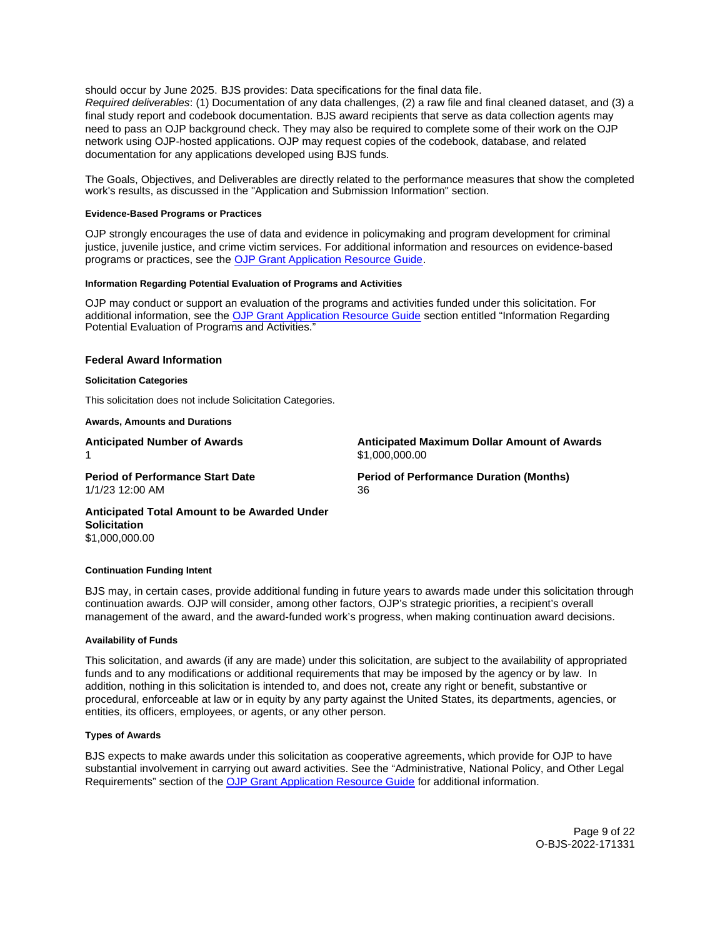<span id="page-8-0"></span>should occur by June 2025. BJS provides: Data specifications for the final data file.

Required deliverables: (1) Documentation of any data challenges, (2) a raw file and final cleaned dataset, and (3) a final study report and codebook documentation. BJS award recipients that serve as data collection agents may need to pass an OJP background check. They may also be required to complete some of their work on the OJP network using OJP-hosted applications. OJP may request copies of the codebook, database, and related documentation for any applications developed using BJS funds.

The Goals, Objectives, and Deliverables are directly related to the performance measures that show the completed work's results, as discussed in the "Application and Submission Information" section.

## **Evidence-Based Programs or Practices**

OJP strongly encourages the use of data and evidence in policymaking and program development for criminal justice, juvenile justice, and crime victim services. For additional information and resources on evidence-based programs or practices, see the [OJP Grant Application Resource Guide.](https://www.ojp.gov/funding/apply/ojp-grant-application-resource-guide#evidence-based)

#### **Information Regarding Potential Evaluation of Programs and Activities**

OJP may conduct or support an evaluation of the programs and activities funded under this solicitation. For additional information, see the [OJP Grant Application Resource Guide](https://www.ojp.gov/funding/apply/ojp-grant-application-resource-guide#potential-evaluation) section entitled "Information Regarding Potential Evaluation of Programs and Activities."

#### **Federal Award Information**

#### **Solicitation Categories**

This solicitation does not include Solicitation Categories.

#### **Awards, Amounts and Durations**

1 \$1,000,000.00

**Anticipated Number of Awards Anticipated Maximum Dollar Amount of Awards** 

1/1/23 12:00 AM 36

**Period of Performance Start Date Mate Review Period of Performance Duration (Months)** 

**Anticipated Total Amount to be Awarded Under Solicitation**  \$1,000,000.00

#### **Continuation Funding Intent**

BJS may, in certain cases, provide additional funding in future years to awards made under this solicitation through continuation awards. OJP will consider, among other factors, OJP's strategic priorities, a recipient's overall management of the award, and the award-funded work's progress, when making continuation award decisions.

#### **Availability of Funds**

This solicitation, and awards (if any are made) under this solicitation, are subject to the availability of appropriated funds and to any modifications or additional requirements that may be imposed by the agency or by law. In addition, nothing in this solicitation is intended to, and does not, create any right or benefit, substantive or procedural, enforceable at law or in equity by any party against the United States, its departments, agencies, or entities, its officers, employees, or agents, or any other person.

#### **Types of Awards**

BJS expects to make awards under this solicitation as cooperative agreements, which provide for OJP to have substantial involvement in carrying out award activities. See the "Administrative, National Policy, and Other Legal Requirements" section of the [OJP Grant Application Resource Guide](https://www.ojp.gov/funding/apply/ojp-grant-application-resource-guide#administrative) for additional information.

> Page 9 of 22 O-BJS-2022-171331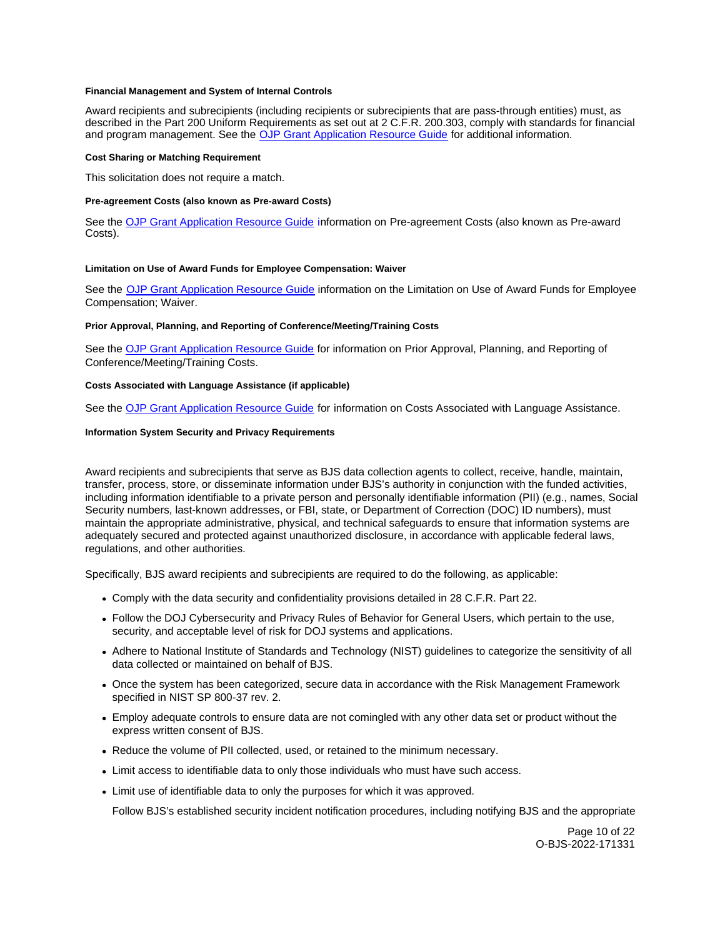#### <span id="page-9-0"></span>**Financial Management and System of Internal Controls**

Award recipients and subrecipients (including recipients or subrecipients that are pass-through entities) must, as described in the Part 200 Uniform Requirements as set out at 2 C.F.R. 200.303, comply with standards for financial and program management. See the [OJP Grant Application Resource Guide](https://www.ojp.gov/funding/apply/ojp-grant-application-resource-guide#fm-internal-controls) for additional information.

#### **Cost Sharing or Matching Requirement**

This solicitation does not require a match.

#### **Pre-agreement Costs (also known as Pre-award Costs)**

See the [OJP Grant Application Resource Guide](https://www.ojp.gov/funding/apply/ojp-grant-application-resource-guide#pre-agreement-costs) information on Pre-agreement Costs (also known as Pre-award Costs).

#### **Limitation on Use of Award Funds for Employee Compensation: Waiver**

See the [OJP Grant Application Resource Guide](https://www.ojp.gov/funding/apply/ojp-grant-application-resource-guide#limitation-use-award) information on the Limitation on Use of Award Funds for Employee Compensation; Waiver.

#### **Prior Approval, Planning, and Reporting of Conference/Meeting/Training Costs**

See the [OJP Grant Application Resource Guide](https://www.ojp.gov/funding/apply/ojp-grant-application-resource-guide#prior-approval) for information on Prior Approval, Planning, and Reporting of Conference/Meeting/Training Costs.

#### **Costs Associated with Language Assistance (if applicable)**

See the [OJP Grant Application Resource Guide](https://www.ojp.gov/funding/apply/ojp-grant-application-resource-guide#costs-associated) for information on Costs Associated with Language Assistance.

#### **Information System Security and Privacy Requirements**

Award recipients and subrecipients that serve as BJS data collection agents to collect, receive, handle, maintain, transfer, process, store, or disseminate information under BJS's authority in conjunction with the funded activities, including information identifiable to a private person and personally identifiable information (PII) (e.g., names, Social Security numbers, last-known addresses, or FBI, state, or Department of Correction (DOC) ID numbers), must maintain the appropriate administrative, physical, and technical safeguards to ensure that information systems are adequately secured and protected against unauthorized disclosure, in accordance with applicable federal laws, regulations, and other authorities.

Specifically, BJS award recipients and subrecipients are required to do the following, as applicable:

- Comply with the data security and confidentiality provisions detailed in 28 C.F.R. Part 22.
- Follow the DOJ Cybersecurity and Privacy Rules of Behavior for General Users, which pertain to the use, security, and acceptable level of risk for DOJ systems and applications.
- Adhere to National Institute of Standards and Technology (NIST) guidelines to categorize the sensitivity of all data collected or maintained on behalf of BJS.
- Once the system has been categorized, secure data in accordance with the Risk Management Framework specified in NIST SP 800-37 rev. 2.
- Employ adequate controls to ensure data are not comingled with any other data set or product without the express written consent of BJS.
- Reduce the volume of PII collected, used, or retained to the minimum necessary.
- Limit access to identifiable data to only those individuals who must have such access.
- Limit use of identifiable data to only the purposes for which it was approved.

Follow BJS's established security incident notification procedures, including notifying BJS and the appropriate

Page 10 of 22 O-BJS-2022-171331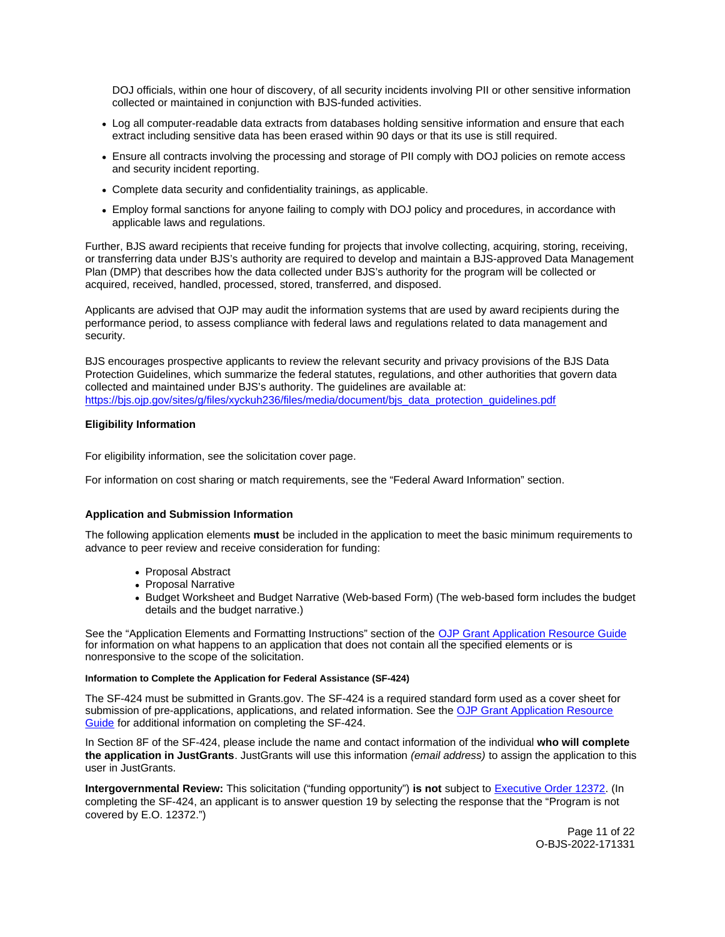<span id="page-10-0"></span>DOJ officials, within one hour of discovery, of all security incidents involving PII or other sensitive information collected or maintained in conjunction with BJS-funded activities.

- Log all computer-readable data extracts from databases holding sensitive information and ensure that each extract including sensitive data has been erased within 90 days or that its use is still required.
- Ensure all contracts involving the processing and storage of PII comply with DOJ policies on remote access and security incident reporting.
- Complete data security and confidentiality trainings, as applicable.
- Employ formal sanctions for anyone failing to comply with DOJ policy and procedures, in accordance with applicable laws and regulations.

Further, BJS award recipients that receive funding for projects that involve collecting, acquiring, storing, receiving, or transferring data under BJS's authority are required to develop and maintain a BJS-approved Data Management Plan (DMP) that describes how the data collected under BJS's authority for the program will be collected or acquired, received, handled, processed, stored, transferred, and disposed.

Applicants are advised that OJP may audit the information systems that are used by award recipients during the performance period, to assess compliance with federal laws and regulations related to data management and security.

BJS encourages prospective applicants to review the relevant security and privacy provisions of the BJS Data Protection Guidelines, which summarize the federal statutes, regulations, and other authorities that govern data collected and maintained under BJS's authority. The guidelines are available at: https://bis.oip.gov/sites/g/files/xyckuh236/files/media/document/bis\_data\_protection\_guidelines.pdf

# **Eligibility Information**

For eligibility information, see the solicitation cover page.

For information on cost sharing or match requirements, see the "Federal Award Information" section.

# **Application and Submission Information**

The following application elements **must** be included in the application to meet the basic minimum requirements to advance to peer review and receive consideration for funding:

- Proposal Abstract
- Proposal Narrative
- Budget Worksheet and Budget Narrative (Web-based Form) (The web-based form includes the budget details and the budget narrative.)

See the "Application Elements and Formatting Instructions" section of the [OJP Grant Application Resource Guide](https://www.ojp.gov/funding/apply/ojp-grant-application-resource-guide#application-elements)  for information on what happens to an application that does not contain all the specified elements or is nonresponsive to the scope of the solicitation.

#### **Information to Complete the Application for Federal Assistance (SF-424)**

The SF-424 must be submitted in [Grants.gov](https://Grants.gov). The SF-424 is a required standard form used as a cover sheet for submission of pre-applications, applications, and related information. See the OJP Grant Application Resource [Guide](https://www.ojp.gov/funding/apply/ojp-grant-application-resource-guide#complete-application) for additional information on completing the SF-424.

In Section 8F of the SF-424, please include the name and contact information of the individual **who will complete the application in JustGrants**. JustGrants will use this information (email address) to assign the application to this user in JustGrants.

**Intergovernmental Review:** This solicitation ("funding opportunity") **is not** subject to [Executive Order 12372.](https://www.archives.gov/federal-register/codification/executive-order/12372.html) (In completing the SF-424, an applicant is to answer question 19 by selecting the response that the "Program is not covered by E.O. 12372.")

> Page 11 of 22 O-BJS-2022-171331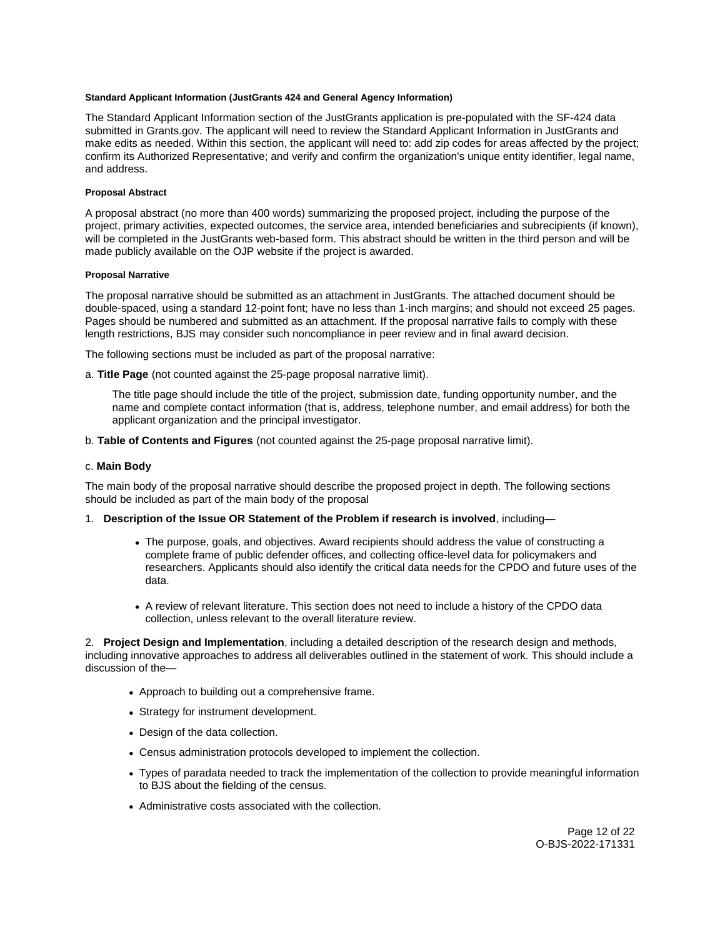## <span id="page-11-0"></span>**Standard Applicant Information (JustGrants 424 and General Agency Information)**

The Standard Applicant Information section of the JustGrants application is pre-populated with the SF-424 data submitted in [Grants.gov](https://Grants.gov). The applicant will need to review the Standard Applicant Information in JustGrants and make edits as needed. Within this section, the applicant will need to: add zip codes for areas affected by the project; confirm its Authorized Representative; and verify and confirm the organization's unique entity identifier, legal name, and address.

#### **Proposal Abstract**

A proposal abstract (no more than 400 words) summarizing the proposed project, including the purpose of the project, primary activities, expected outcomes, the service area, intended beneficiaries and subrecipients (if known), will be completed in the JustGrants web-based form. This abstract should be written in the third person and will be made publicly available on the OJP website if the project is awarded.

#### **Proposal Narrative**

The proposal narrative should be submitted as an attachment in JustGrants. The attached document should be double-spaced, using a standard 12-point font; have no less than 1-inch margins; and should not exceed 25 pages. Pages should be numbered and submitted as an attachment. If the proposal narrative fails to comply with these length restrictions, BJS may consider such noncompliance in peer review and in final award decision.

The following sections must be included as part of the proposal narrative:

a. **Title Page** (not counted against the 25-page proposal narrative limit).

The title page should include the title of the project, submission date, funding opportunity number, and the name and complete contact information (that is, address, telephone number, and email address) for both the applicant organization and the principal investigator.

b. **Table of Contents and Figures** (not counted against the 25-page proposal narrative limit).

# c. **Main Body**

The main body of the proposal narrative should describe the proposed project in depth. The following sections should be included as part of the main body of the proposal

#### 1. **Description of the Issue OR Statement of the Problem if research is involved**, including—

- The purpose, goals, and objectives. Award recipients should address the value of constructing a complete frame of public defender offices, and collecting office-level data for policymakers and researchers. Applicants should also identify the critical data needs for the CPDO and future uses of the data.
- A review of relevant literature. This section does not need to include a history of the CPDO data collection, unless relevant to the overall literature review.

2. **Project Design and Implementation**, including a detailed description of the research design and methods, including innovative approaches to address all deliverables outlined in the statement of work. This should include a discussion of the—

- Approach to building out a comprehensive frame.
- Strategy for instrument development.
- Design of the data collection.
- Census administration protocols developed to implement the collection.
- Types of paradata needed to track the implementation of the collection to provide meaningful information to BJS about the fielding of the census.
- Administrative costs associated with the collection.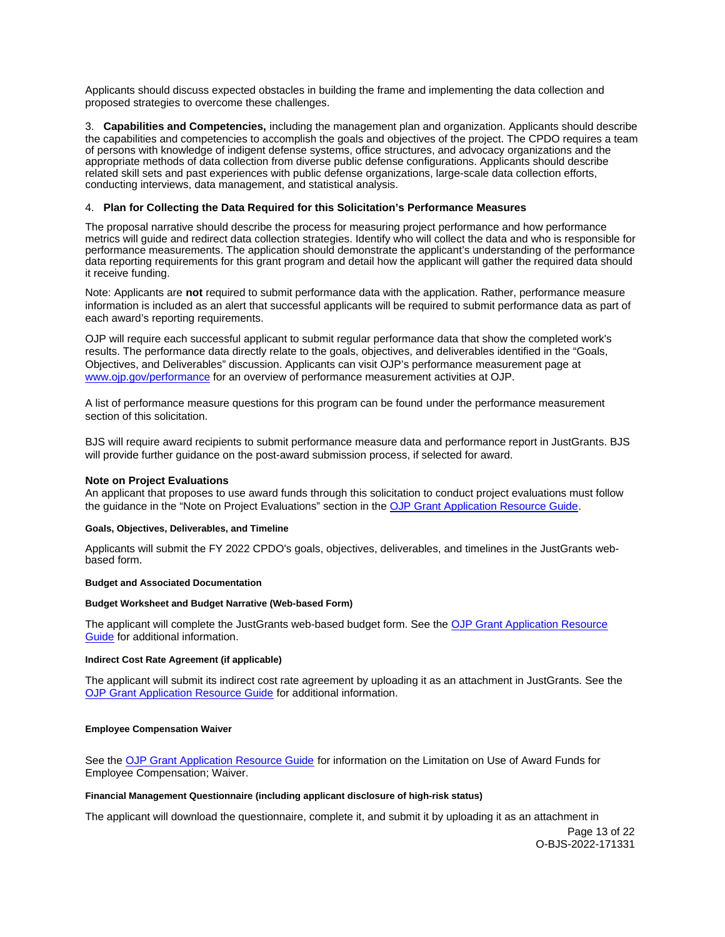<span id="page-12-0"></span>Applicants should discuss expected obstacles in building the frame and implementing the data collection and proposed strategies to overcome these challenges.

3. **Capabilities and Competencies,** including the management plan and organization. Applicants should describe the capabilities and competencies to accomplish the goals and objectives of the project. The CPDO requires a team of persons with knowledge of indigent defense systems, office structures, and advocacy organizations and the appropriate methods of data collection from diverse public defense configurations. Applicants should describe related skill sets and past experiences with public defense organizations, large-scale data collection efforts, conducting interviews, data management, and statistical analysis.

# 4. **Plan for Collecting the Data Required for this Solicitation's Performance Measures**

The proposal narrative should describe the process for measuring project performance and how performance metrics will guide and redirect data collection strategies. Identify who will collect the data and who is responsible for performance measurements. The application should demonstrate the applicant's understanding of the performance data reporting requirements for this grant program and detail how the applicant will gather the required data should it receive funding.

Note: Applicants are **not** required to submit performance data with the application. Rather, performance measure information is included as an alert that successful applicants will be required to submit performance data as part of each award's reporting requirements.

OJP will require each successful applicant to submit regular performance data that show the completed work's results. The performance data directly relate to the goals, objectives, and deliverables identified in the "Goals, Objectives, and Deliverables" discussion. Applicants can visit OJP's performance measurement page at [www.ojp.gov/performance](https://www.ojp.gov/performance) for an overview of performance measurement activities at OJP.

A list of performance measure questions for this program can be found under the performance measurement section of this solicitation.

BJS will require award recipients to submit performance measure data and performance report in JustGrants. BJS will provide further guidance on the post-award submission process, if selected for award.

#### **Note on Project Evaluations**

An applicant that proposes to use award funds through this solicitation to conduct project evaluations must follow the guidance in the "Note on Project Evaluations" section in the [OJP Grant Application Resource Guide.](https://www.ojp.gov/funding/apply/ojp-grant-application-resource-guide#project-evaluations)

#### **Goals, Objectives, Deliverables, and Timeline**

Applicants will submit the FY 2022 CPDO's goals, objectives, deliverables, and timelines in the JustGrants webbased form.

## **Budget and Associated Documentation**

## **Budget Worksheet and Budget Narrative (Web-based Form)**

The applicant will complete the JustGrants web-based budget form. See the [OJP Grant Application Resource](https://www.ojp.gov/funding/apply/ojp-grant-application-resource-guide#budget-prep)  [Guide](https://www.ojp.gov/funding/apply/ojp-grant-application-resource-guide#budget-prep) for additional information.

#### **Indirect Cost Rate Agreement (if applicable)**

The applicant will submit its indirect cost rate agreement by uploading it as an attachment in JustGrants. See the [OJP Grant Application Resource Guide](https://www.ojp.gov/funding/apply/ojp-grant-application-resource-guide#indirect-cost) for additional information.

#### **Employee Compensation Waiver**

See the [OJP Grant Application Resource Guide](https://www.ojp.gov/funding/apply/ojp-grant-application-resource-guide#limitation-use-award) for information on the Limitation on Use of Award Funds for Employee Compensation; Waiver.

#### **Financial Management Questionnaire (including applicant disclosure of high-risk status)**

The applicant will download the questionnaire, complete it, and submit it by uploading it as an attachment in

Page 13 of 22 O-BJS-2022-171331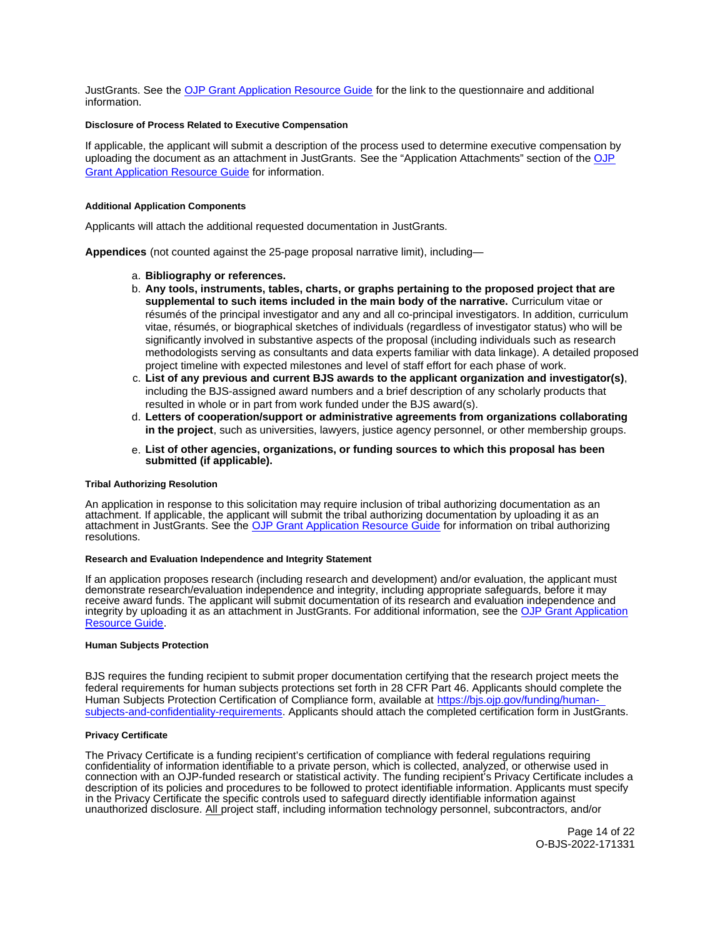<span id="page-13-0"></span>JustGrants. See the [OJP Grant Application Resource Guide](https://www.ojp.gov/funding/apply/ojp-grant-application-resource-guide#fm-internal-controls-questionnaire) for the link to the questionnaire and additional information.

## **Disclosure of Process Related to Executive Compensation**

If applicable, the applicant will submit a description of the process used to determine executive compensation by uploading the document as an attachment in JustGrants. See the "Application Attachments" section of the [OJP](https://www.ojp.gov/funding/apply/ojp-grant-application-resource-guide#disclosure-process-executive)  [Grant Application Resource Guide](https://www.ojp.gov/funding/apply/ojp-grant-application-resource-guide#disclosure-process-executive) for information.

#### **Additional Application Components**

Applicants will attach the additional requested documentation in JustGrants.

**Appendices** (not counted against the 25-page proposal narrative limit), including—

#### a. **Bibliography or references.**

- b. **Any tools, instruments, tables, charts, or graphs pertaining to the proposed project that are supplemental to such items included in the main body of the narrative.** Curriculum vitae or résumés of the principal investigator and any and all co-principal investigators. In addition, curriculum vitae, résumés, or biographical sketches of individuals (regardless of investigator status) who will be significantly involved in substantive aspects of the proposal (including individuals such as research methodologists serving as consultants and data experts familiar with data linkage). A detailed proposed project timeline with expected milestones and level of staff effort for each phase of work.
- c. **List of any previous and current BJS awards to the applicant organization and investigator(s)**, including the BJS-assigned award numbers and a brief description of any scholarly products that resulted in whole or in part from work funded under the BJS award(s).
- d. **Letters of cooperation/support or administrative agreements from organizations collaborating in the project**, such as universities, lawyers, justice agency personnel, or other membership groups.
- e. **List of other agencies, organizations, or funding sources to which this proposal has been submitted (if applicable).**

#### **Tribal Authorizing Resolution**

An application in response to this solicitation may require inclusion of tribal authorizing documentation as an attachment. If applicable, the applicant will submit the tribal authorizing documentation by uploading it as an attachment in JustGrants. See the [OJP Grant Application Resource Guide](https://www.ojp.gov/funding/apply/ojp-grant-application-resource-guide#tribal-authorizing-resolution) for information on tribal authorizing resolutions.

## **Research and Evaluation Independence and Integrity Statement**

If an application proposes research (including research and development) and/or evaluation, the applicant must demonstrate research/evaluation independence and integrity, including appropriate safeguards, before it may receive award funds. The applicant will submit documentation of its research and evaluation independence and integrity by uploading it as an attachment in JustGrants. For additional information, see the [OJP Grant Application](https://www.ojp.gov/funding/apply/ojp-grant-application-resource-guide#research-evaluation)  [Resource Guide.](https://www.ojp.gov/funding/apply/ojp-grant-application-resource-guide#research-evaluation)

#### **Human Subjects Protection**

BJS requires the funding recipient to submit proper documentation certifying that the research project meets the federal requirements for human subjects protections set forth in 28 CFR Part 46. Applicants should complete the Human Subjects Protection Certification of Compliance form, available at [https://bjs.ojp.gov/funding/human](https://bjs.ojp.gov/funding/human-subjects-and-confidentiality-requirements)[subjects-and-confidentiality-requirements.](https://bjs.ojp.gov/funding/human-subjects-and-confidentiality-requirements) Applicants should attach the completed certification form in JustGrants.

#### **Privacy Certificate**

The Privacy Certificate is a funding recipient's certification of compliance with federal regulations requiring confidentiality of information identifiable to a private person, which is collected, analyzed, or otherwise used in connection with an OJP-funded research or statistical activity. The funding recipient's Privacy Certificate includes a description of its policies and procedures to be followed to protect identifiable information. Applicants must specify in the Privacy Certificate the specific controls used to safeguard directly identifiable information against unauthorized disclosure. All project staff, including information technology personnel, subcontractors, and/or

> Page 14 of 22 O-BJS-2022-171331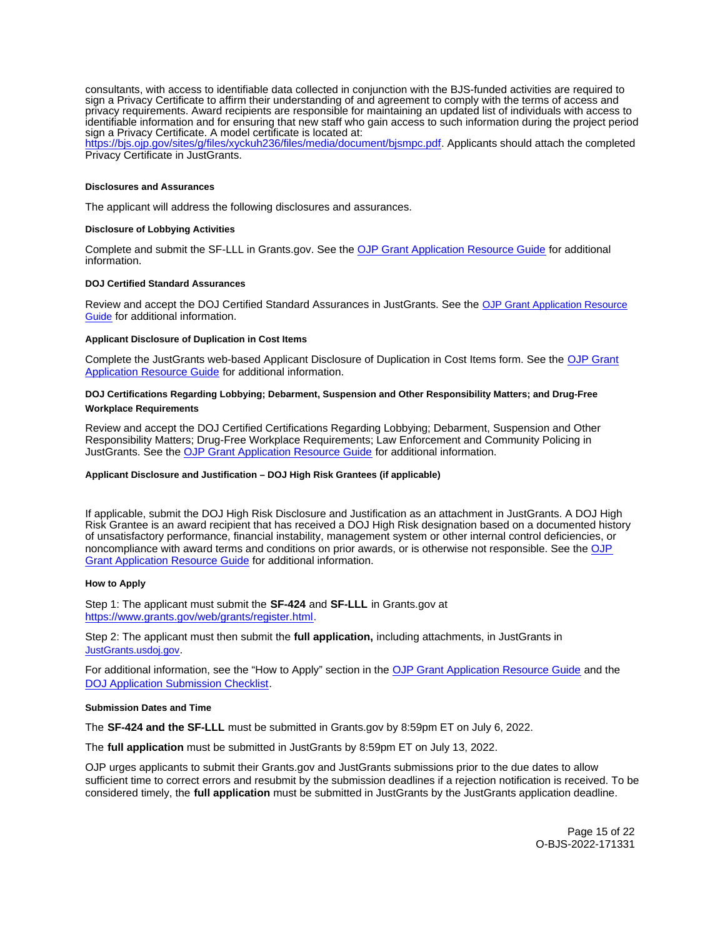<span id="page-14-0"></span>consultants, with access to identifiable data collected in conjunction with the BJS-funded activities are required to sign a Privacy Certificate to affirm their understanding of and agreement to comply with the terms of access and privacy requirements. Award recipients are responsible for maintaining an updated list of individuals with access to identifiable information and for ensuring that new staff who gain access to such information during the project period sign a Privacy Certificate. A model certificate is located at:

[https://bjs.ojp.gov/sites/g/files/xyckuh236/files/media/document/bjsmpc.pdf.](https://bjs.ojp.gov/sites/g/files/xyckuh236/files/media/document/bjsmpc.pdf) Applicants should attach the completed Privacy Certificate in JustGrants.

#### **Disclosures and Assurances**

The applicant will address the following disclosures and assurances.

#### **Disclosure of Lobbying Activities**

Complete and submit the SF-LLL in [Grants.gov.](https://Grants.gov) See the [OJP Grant Application Resource Guide](https://www.ojp.gov/funding/apply/ojp-grant-application-resource-guide#disclosure-lobby) for additional information.

#### **DOJ Certified Standard Assurances**

Review and accept the DOJ Certified Standard Assurances in JustGrants. See the [OJP Grant Application Resource](https://www.ojp.gov/funding/apply/ojp-grant-application-resource-guide#administrative)  [Guide](https://www.ojp.gov/funding/apply/ojp-grant-application-resource-guide#administrative) for additional information.

#### **Applicant Disclosure of Duplication in Cost Items**

Complete the JustGrants web-based Applicant Disclosure of Duplication in Cost Items form. See the [OJP Grant](https://www.ojp.gov/funding/apply/ojp-grant-application-resource-guide#applicant-disclosure-pending-applications)  [Application Resource Guide](https://www.ojp.gov/funding/apply/ojp-grant-application-resource-guide#applicant-disclosure-pending-applications) for additional information.

### **DOJ Certifications Regarding Lobbying; Debarment, Suspension and Other Responsibility Matters; and Drug-Free Workplace Requirements**

Review and accept the DOJ Certified Certifications Regarding Lobbying; Debarment, Suspension and Other Responsibility Matters; Drug-Free Workplace Requirements; Law Enforcement and Community Policing in JustGrants. See the [OJP Grant Application Resource Guide](https://www.ojp.gov/funding/apply/ojp-grant-application-resource-guide#administrative) for additional information.

# **Applicant Disclosure and Justification – DOJ High Risk Grantees (if applicable)**

If applicable, submit the DOJ High Risk Disclosure and Justification as an attachment in JustGrants. A DOJ High Risk Grantee is an award recipient that has received a DOJ High Risk designation based on a documented history of unsatisfactory performance, financial instability, management system or other internal control deficiencies, or noncompliance with award terms and conditions on prior awards, or is otherwise not responsible. See the [OJP](https://www.ojp.gov/funding/apply/ojp-grant-application-resource-guide#applicant-disclosure-justification)  [Grant Application Resource Guide](https://www.ojp.gov/funding/apply/ojp-grant-application-resource-guide#applicant-disclosure-justification) for additional information.

#### **How to Apply**

Step 1: The applicant must submit the **SF-424** and **SF-LLL** in [Grants.gov](https://Grants.gov) at [https://www.grants.gov/web/grants/register.html.](https://www.grants.gov/web/grants/register.html)

Step 2: The applicant must then submit the **full application,** including attachments, in JustGrants in [JustGrants.usdoj.gov.](https://justicegrants.usdoj.gov/)

For additional information, see the "How to Apply" section in the [OJP Grant Application Resource Guide](https://www.ojp.gov/funding/apply/ojp-grant-application-resource-guide#apply) and the **[DOJ Application Submission Checklist.](https://justicegrants.usdoj.gov/sites/g/files/xyckuh296/files/media/document/appln-submission-checklist.pdf)** 

#### **Submission Dates and Time**

The **SF-424 and the SF-LLL** must be submitted in [Grants.gov](https://Grants.gov) by 8:59pm ET on July 6, 2022.

The **full application** must be submitted in JustGrants by 8:59pm ET on July 13, 2022.

OJP urges applicants to submit their [Grants.gov](https://Grants.gov) and JustGrants submissions prior to the due dates to allow sufficient time to correct errors and resubmit by the submission deadlines if a rejection notification is received. To be considered timely, the **full application** must be submitted in JustGrants by the JustGrants application deadline.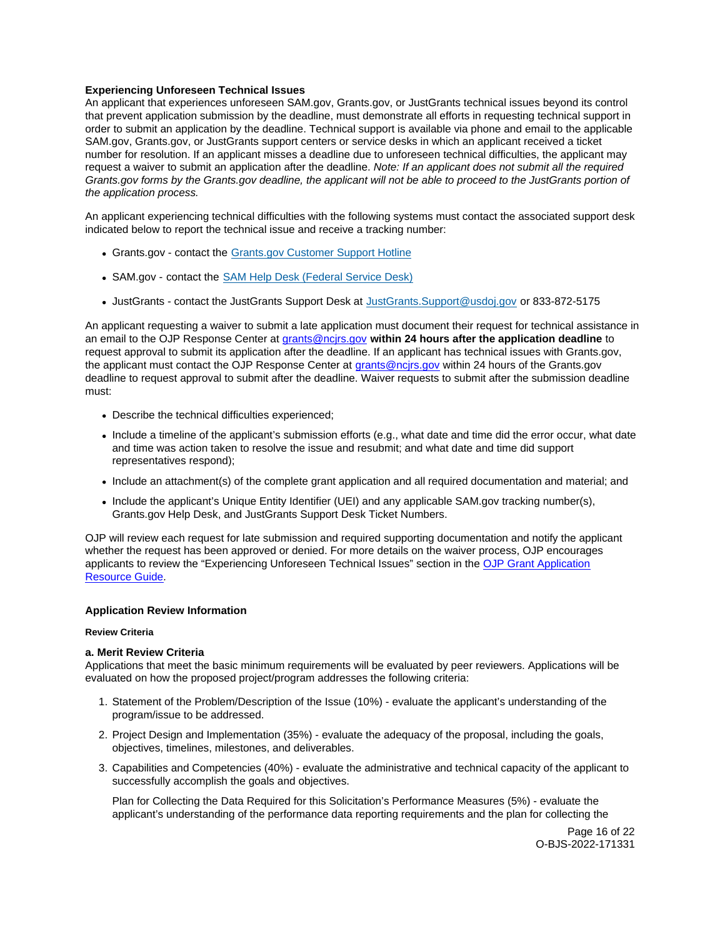# <span id="page-15-0"></span>**Experiencing Unforeseen Technical Issues**

An applicant that experiences unforeseen SAM.gov, [Grants.gov](https://Grants.gov), or JustGrants technical issues beyond its control that prevent application submission by the deadline, must demonstrate all efforts in requesting technical support in order to submit an application by the deadline. Technical support is available via phone and email to the applicable SAM.gov, [Grants.gov,](https://Grants.gov) or JustGrants support centers or service desks in which an applicant received a ticket number for resolution. If an applicant misses a deadline due to unforeseen technical difficulties, the applicant may request a waiver to submit an application after the deadline. Note: If an applicant does not submit all the required [Grants.gov](https://Grants.gov) forms by the [Grants.gov](https://Grants.gov) deadline, the applicant will not be able to proceed to the JustGrants portion of the application process.

An applicant experiencing technical difficulties with the following systems must contact the associated support desk indicated below to report the technical issue and receive a tracking number:

- [Grants.gov](https://Grants.gov) contact the [Grants.gov Customer Support Hotline](https://www.grants.gov/web/grants/support.html)
- SAM.gov contact the [SAM Help Desk \(Federal Service Desk\)](https://www.fsd.gov/gsafsd_sp)
- JustGrants contact the JustGrants Support Desk at [JustGrants.Support@usdoj.gov](mailto:JustGrants.Support@usdoj.gov) or 833-872-5175

An applicant requesting a waiver to submit a late application must document their request for technical assistance in an email to the OJP Response Center at [grants@ncjrs.gov](mailto:grants@ncjrs.gov) **within 24 hours after the application deadline** to request approval to submit its application after the deadline. If an applicant has technical issues with [Grants.gov,](https://Grants.gov) the applicant must contact the OJP Response Center at [grants@ncjrs.gov](mailto:grants@ncjrs.gov) within 24 hours of the [Grants.gov](https://Grants.gov) deadline to request approval to submit after the deadline. Waiver requests to submit after the submission deadline must:

- Describe the technical difficulties experienced;
- Include a timeline of the applicant's submission efforts (e.g., what date and time did the error occur, what date and time was action taken to resolve the issue and resubmit; and what date and time did support representatives respond);
- Include an attachment(s) of the complete grant application and all required documentation and material; and
- Include the applicant's Unique Entity Identifier (UEI) and any applicable SAM.gov tracking number(s), [Grants.gov](https://Grants.gov) Help Desk, and JustGrants Support Desk Ticket Numbers.

OJP will review each request for late submission and required supporting documentation and notify the applicant whether the request has been approved or denied. For more details on the waiver process, OJP encourages applicants to review the "Experiencing Unforeseen Technical Issues" section in the [OJP Grant Application](https://www.ojp.gov/funding/apply/ojp-grant-application-resource-guide#experiencing-unforeseen-technical-issues)  [Resource Guide](https://www.ojp.gov/funding/apply/ojp-grant-application-resource-guide#experiencing-unforeseen-technical-issues).

#### **Application Review Information**

# **Review Criteria**

#### **a. Merit Review Criteria**

Applications that meet the basic minimum requirements will be evaluated by peer reviewers. Applications will be evaluated on how the proposed project/program addresses the following criteria:

- 1. Statement of the Problem/Description of the Issue (10%) evaluate the applicant's understanding of the program/issue to be addressed.
- 2. Project Design and Implementation (35%) evaluate the adequacy of the proposal, including the goals, objectives, timelines, milestones, and deliverables.
- 3. Capabilities and Competencies (40%) evaluate the administrative and technical capacity of the applicant to successfully accomplish the goals and objectives.

Plan for Collecting the Data Required for this Solicitation's Performance Measures (5%) - evaluate the applicant's understanding of the performance data reporting requirements and the plan for collecting the

> Page 16 of 22 O-BJS-2022-171331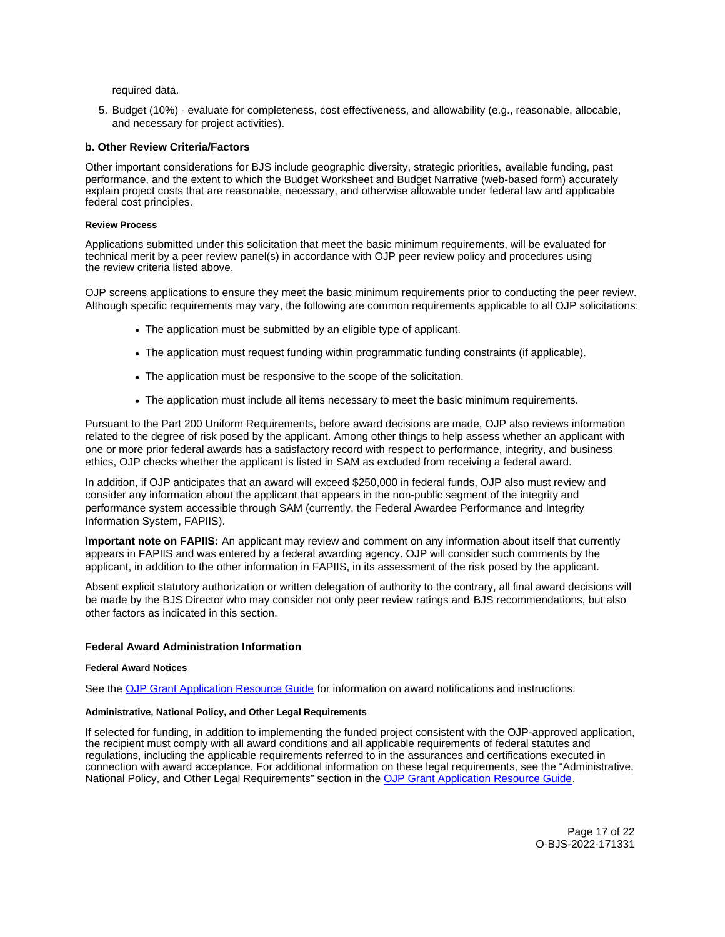<span id="page-16-0"></span>required data.

5. Budget (10%) - evaluate for completeness, cost effectiveness, and allowability (e.g., reasonable, allocable, and necessary for project activities).

# **b. Other Review Criteria/Factors**

Other important considerations for BJS include geographic diversity, strategic priorities, available funding, past performance, and the extent to which the Budget Worksheet and Budget Narrative (web-based form) accurately explain project costs that are reasonable, necessary, and otherwise allowable under federal law and applicable federal cost principles.

#### **Review Process**

Applications submitted under this solicitation that meet the basic minimum requirements, will be evaluated for technical merit by a peer review panel(s) in accordance with OJP peer review policy and procedures using the review criteria listed above.

OJP screens applications to ensure they meet the basic minimum requirements prior to conducting the peer review. Although specific requirements may vary, the following are common requirements applicable to all OJP solicitations:

- The application must be submitted by an eligible type of applicant.
- The application must request funding within programmatic funding constraints (if applicable).
- The application must be responsive to the scope of the solicitation.
- The application must include all items necessary to meet the basic minimum requirements.

Pursuant to the Part 200 Uniform Requirements, before award decisions are made, OJP also reviews information related to the degree of risk posed by the applicant. Among other things to help assess whether an applicant with one or more prior federal awards has a satisfactory record with respect to performance, integrity, and business ethics, OJP checks whether the applicant is listed in SAM as excluded from receiving a federal award.

In addition, if OJP anticipates that an award will exceed \$250,000 in federal funds, OJP also must review and consider any information about the applicant that appears in the non-public segment of the integrity and performance system accessible through SAM (currently, the Federal Awardee Performance and Integrity Information System, FAPIIS).

**Important note on FAPIIS:** An applicant may review and comment on any information about itself that currently appears in FAPIIS and was entered by a federal awarding agency. OJP will consider such comments by the applicant, in addition to the other information in FAPIIS, in its assessment of the risk posed by the applicant.

Absent explicit statutory authorization or written delegation of authority to the contrary, all final award decisions will be made by the BJS Director who may consider not only peer review ratings and BJS recommendations, but also other factors as indicated in this section.

#### **Federal Award Administration Information**

#### **Federal Award Notices**

See the [OJP Grant Application Resource Guide](https://www.ojp.gov/funding/apply/ojp-grant-application-resource-guide#federal-award-notices) for information on award notifications and instructions.

## **Administrative, National Policy, and Other Legal Requirements**

If selected for funding, in addition to implementing the funded project consistent with the OJP-approved application, the recipient must comply with all award conditions and all applicable requirements of federal statutes and regulations, including the applicable requirements referred to in the assurances and certifications executed in connection with award acceptance. For additional information on these legal requirements, see the "Administrative, National Policy, and Other Legal Requirements" section in the [OJP Grant Application Resource Guide.](https://www.ojp.gov/funding/apply/ojp-grant-application-resource-guide#administrative)

> Page 17 of 22 O-BJS-2022-171331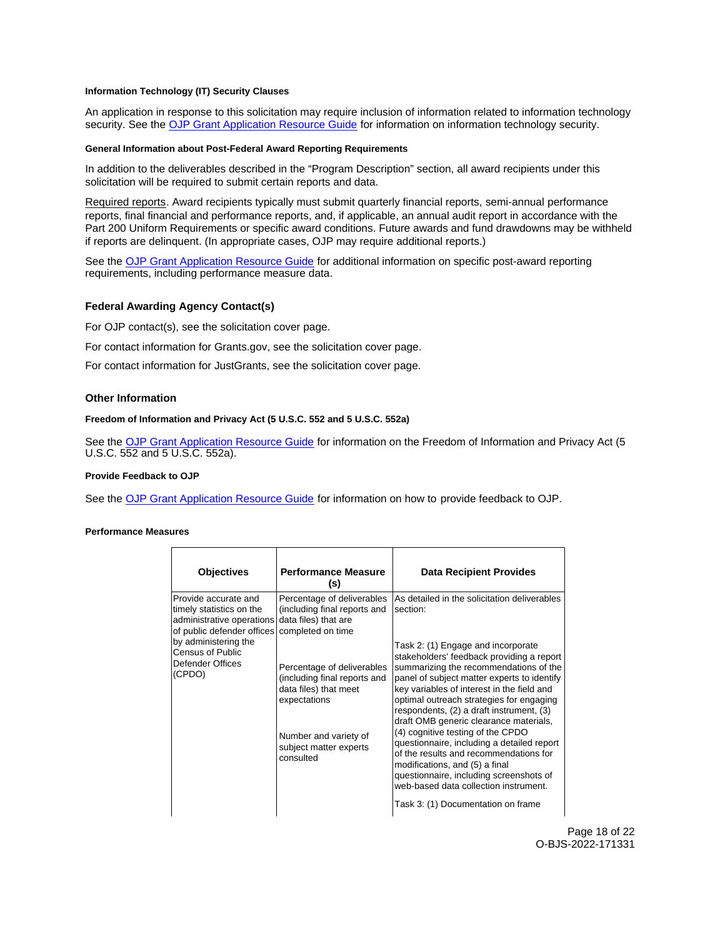## <span id="page-17-0"></span>**Information Technology (IT) Security Clauses**

An application in response to this solicitation may require inclusion of information related to information technology security. See the [OJP Grant Application Resource Guide](https://www.ojp.gov/funding/apply/ojp-grant-application-resource-guide#information-technology) for information on information technology security.

## **General Information about Post-Federal Award Reporting Requirements**

In addition to the deliverables described in the "Program Description" section, all award recipients under this solicitation will be required to submit certain reports and data.

Required reports. Award recipients typically must submit quarterly financial reports, semi-annual performance reports, final financial and performance reports, and, if applicable, an annual audit report in accordance with the Part 200 Uniform Requirements or specific award conditions. Future awards and fund drawdowns may be withheld if reports are delinquent. (In appropriate cases, OJP may require additional reports.)

See the [OJP Grant Application Resource Guide](https://www.ojp.gov/funding/apply/ojp-grant-application-resource-guide#general-information) for additional information on specific post-award reporting requirements, including performance measure data.

## **Federal Awarding Agency Contact(s)**

For OJP contact(s), see the solicitation cover page.

For contact information for [Grants.gov,](https://Grants.gov) see the solicitation cover page.

For contact information for JustGrants, see the solicitation cover page.

# **Other Information**

## **Freedom of Information and Privacy Act (5 U.S.C. 552 and 5 U.S.C. 552a)**

See the [OJP Grant Application Resource Guide](https://www.ojp.gov/funding/apply/ojp-grant-application-resource-guide#foia) for information on the Freedom of Information and Privacy Act (5 U.S.C. 552 and 5 U.S.C. 552a).

#### **Provide Feedback to OJP**

See the [OJP Grant Application Resource Guide](https://www.ojp.gov/funding/apply/ojp-grant-application-resource-guide#feedback) for information on how to provide feedback to OJP.

#### **Performance Measures**

| <b>Objectives</b>                                                                                            | <b>Performance Measure</b><br>(s)                                                                                                                                   | <b>Data Recipient Provides</b>                                                                                                                                                                                                                                                                                                                                                                                                                                                                                                                                                                              |
|--------------------------------------------------------------------------------------------------------------|---------------------------------------------------------------------------------------------------------------------------------------------------------------------|-------------------------------------------------------------------------------------------------------------------------------------------------------------------------------------------------------------------------------------------------------------------------------------------------------------------------------------------------------------------------------------------------------------------------------------------------------------------------------------------------------------------------------------------------------------------------------------------------------------|
| lProvide accurate and<br>timely statistics on the<br>administrative operations<br>of public defender offices | Percentage of deliverables<br>(including final reports and<br>data files) that are<br>completed on time                                                             | As detailed in the solicitation deliverables<br>section:                                                                                                                                                                                                                                                                                                                                                                                                                                                                                                                                                    |
| by administering the<br>Census of Public<br>Defender Offices<br>(CPDO)                                       | Percentage of deliverables<br>(including final reports and<br>data files) that meet<br>expectations<br>Number and variety of<br>subject matter experts<br>consulted | Task 2: (1) Engage and incorporate<br>stakeholders' feedback providing a report<br>summarizing the recommendations of the<br>panel of subject matter experts to identify<br>key variables of interest in the field and<br>optimal outreach strategies for engaging<br>respondents, (2) a draft instrument, (3)<br>draft OMB generic clearance materials,<br>(4) cognitive testing of the CPDO<br>questionnaire, including a detailed report<br>of the results and recommendations for<br>modifications, and (5) a final<br>questionnaire, including screenshots of<br>web-based data collection instrument. |
|                                                                                                              |                                                                                                                                                                     | Task 3: (1) Documentation on frame                                                                                                                                                                                                                                                                                                                                                                                                                                                                                                                                                                          |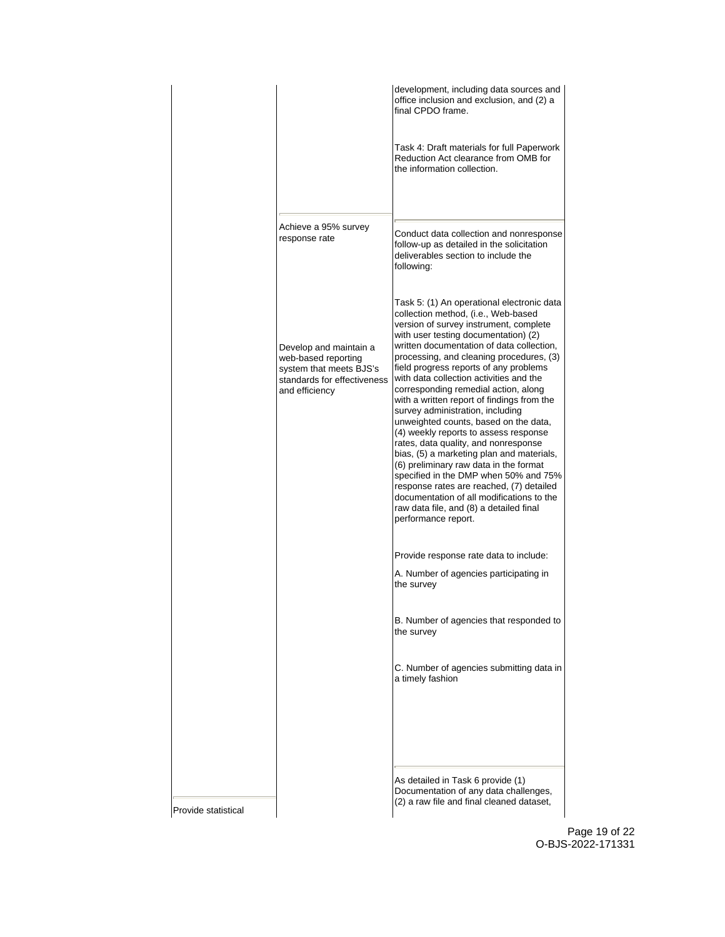|                     |                                                                                                                           | development, including data sources and<br>office inclusion and exclusion, and (2) a<br>final CPDO frame.                                                                                                                                                                                                                                                                                                                                                                                                                                                                                                                                                                                                                                                                                                                                                                                        |
|---------------------|---------------------------------------------------------------------------------------------------------------------------|--------------------------------------------------------------------------------------------------------------------------------------------------------------------------------------------------------------------------------------------------------------------------------------------------------------------------------------------------------------------------------------------------------------------------------------------------------------------------------------------------------------------------------------------------------------------------------------------------------------------------------------------------------------------------------------------------------------------------------------------------------------------------------------------------------------------------------------------------------------------------------------------------|
|                     |                                                                                                                           | Task 4: Draft materials for full Paperwork<br>Reduction Act clearance from OMB for<br>the information collection.                                                                                                                                                                                                                                                                                                                                                                                                                                                                                                                                                                                                                                                                                                                                                                                |
|                     | Achieve a 95% survey<br>response rate                                                                                     | Conduct data collection and nonresponse<br>follow-up as detailed in the solicitation<br>deliverables section to include the<br>following:                                                                                                                                                                                                                                                                                                                                                                                                                                                                                                                                                                                                                                                                                                                                                        |
|                     | Develop and maintain a<br>web-based reporting<br>system that meets BJS's<br>standards for effectiveness<br>and efficiency | Task 5: (1) An operational electronic data<br>collection method, (i.e., Web-based<br>version of survey instrument, complete<br>with user testing documentation) (2)<br>written documentation of data collection,<br>processing, and cleaning procedures, (3)<br>field progress reports of any problems<br>with data collection activities and the<br>corresponding remedial action, along<br>with a written report of findings from the<br>survey administration, including<br>unweighted counts, based on the data,<br>(4) weekly reports to assess response<br>rates, data quality, and nonresponse<br>bias, (5) a marketing plan and materials,<br>(6) preliminary raw data in the format<br>specified in the DMP when 50% and 75%<br>response rates are reached, (7) detailed<br>documentation of all modifications to the<br>raw data file, and (8) a detailed final<br>performance report. |
|                     |                                                                                                                           | Provide response rate data to include:<br>A. Number of agencies participating in<br>the survey                                                                                                                                                                                                                                                                                                                                                                                                                                                                                                                                                                                                                                                                                                                                                                                                   |
|                     |                                                                                                                           | B. Number of agencies that responded to<br>the survey                                                                                                                                                                                                                                                                                                                                                                                                                                                                                                                                                                                                                                                                                                                                                                                                                                            |
|                     |                                                                                                                           | C. Number of agencies submitting data in<br>a timely fashion                                                                                                                                                                                                                                                                                                                                                                                                                                                                                                                                                                                                                                                                                                                                                                                                                                     |
|                     |                                                                                                                           |                                                                                                                                                                                                                                                                                                                                                                                                                                                                                                                                                                                                                                                                                                                                                                                                                                                                                                  |
| Provide statistical |                                                                                                                           | As detailed in Task 6 provide (1)<br>Documentation of any data challenges,<br>(2) a raw file and final cleaned dataset,                                                                                                                                                                                                                                                                                                                                                                                                                                                                                                                                                                                                                                                                                                                                                                          |

Page 19 of 22 O-BJS-2022-171331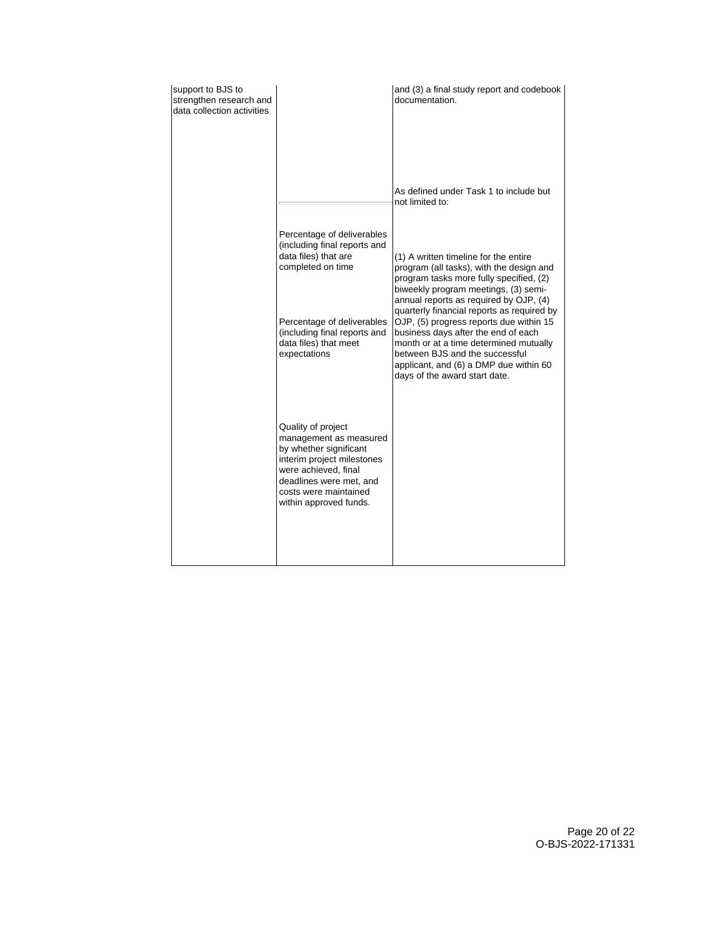| support to BJS to<br>strengthen research and<br>data collection activities |                                                                                                                                                                                                            | and (3) a final study report and codebook<br>documentation.                                                                                                                                                                           |
|----------------------------------------------------------------------------|------------------------------------------------------------------------------------------------------------------------------------------------------------------------------------------------------------|---------------------------------------------------------------------------------------------------------------------------------------------------------------------------------------------------------------------------------------|
|                                                                            |                                                                                                                                                                                                            | As defined under Task 1 to include but<br>not limited to:                                                                                                                                                                             |
|                                                                            | Percentage of deliverables                                                                                                                                                                                 |                                                                                                                                                                                                                                       |
|                                                                            | (including final reports and<br>data files) that are                                                                                                                                                       | (1) A written timeline for the entire                                                                                                                                                                                                 |
|                                                                            | completed on time                                                                                                                                                                                          | program (all tasks), with the design and<br>program tasks more fully specified, (2)<br>biweekly program meetings, (3) semi-<br>annual reports as required by OJP, (4)<br>quarterly financial reports as required by                   |
|                                                                            | Percentage of deliverables<br>(including final reports and<br>data files) that meet<br>expectations                                                                                                        | OJP, (5) progress reports due within 15<br>business days after the end of each<br>month or at a time determined mutually<br>between BJS and the successful<br>applicant, and (6) a DMP due within 60<br>days of the award start date. |
|                                                                            | Quality of project<br>management as measured<br>by whether significant<br>interim project milestones<br>were achieved, final<br>deadlines were met, and<br>costs were maintained<br>within approved funds. |                                                                                                                                                                                                                                       |
|                                                                            |                                                                                                                                                                                                            |                                                                                                                                                                                                                                       |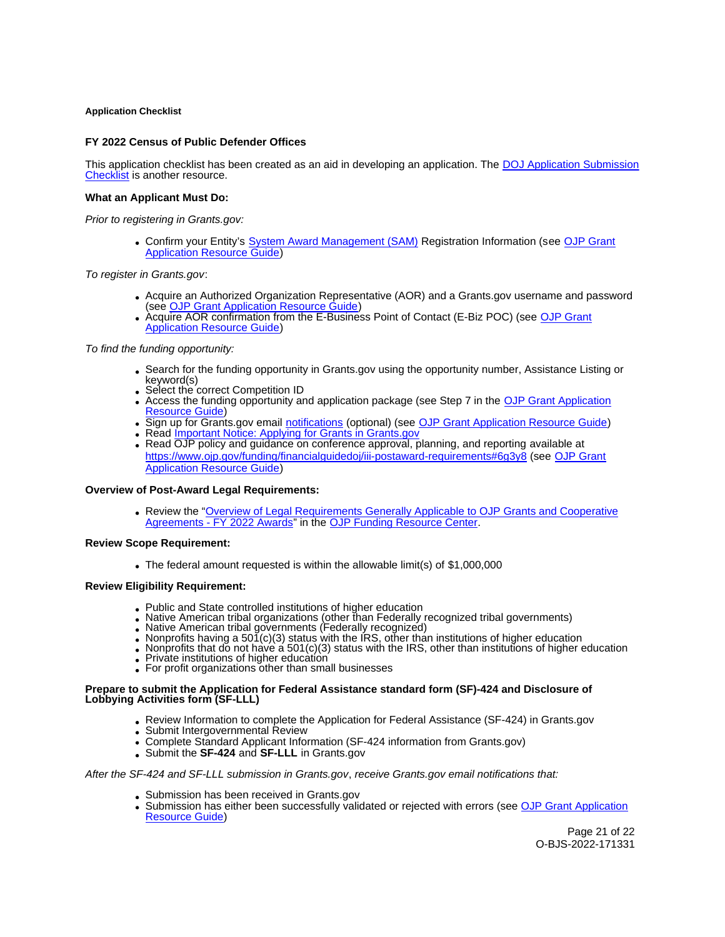## <span id="page-20-0"></span>**Application Checklist**

# **FY 2022 Census of Public Defender Offices**

This application checklist has been created as an aid in developing an application. The [DOJ Application Submission](https://justicegrants.usdoj.gov/sites/g/files/xyckuh296/files/media/document/appln-submission-checklist.pdf)  [Checklist](https://justicegrants.usdoj.gov/sites/g/files/xyckuh296/files/media/document/appln-submission-checklist.pdf) is another resource.

## **What an Applicant Must Do:**

Prior to registering in [Grants.gov](https://Grants.gov):

Confirm your Entity's [System Award Management \(SAM\)](https://sam.gov/SAM/) Registration Information (see [OJP Grant](https://www.ojp.gov/funding/apply/ojp-grant-application-resource-guide#apply)  [Application Resource Guide\)](https://www.ojp.gov/funding/apply/ojp-grant-application-resource-guide#apply)

To register in [Grants.gov](https://Grants.gov):

- Acquire an Authorized Organization Representative (AOR) and a [Grants.gov](https://Grants.gov) username and password (see [OJP Grant Application Resource Guide\)](https://www.ojp.gov/funding/apply/ojp-grant-application-resource-guide#apply)
- Acquire AOR confirmation from the E-Business Point of Contact (E-Biz POC) (see OJP Grant [Application Resource Guide\)](https://www.ojp.gov/funding/apply/ojp-grant-application-resource-guide#apply)

# To find the funding opportunity:

- Search for the funding opportunity in [Grants.gov](https://Grants.gov) using the opportunity number, Assistance Listing or keyword(s)
- Select the correct Competition ID
- Access the funding opportunity and application package (see Step 7 in the OJP Grant Application [Resource Guide\)](https://www.ojp.gov/funding/apply/ojp-grant-application-resource-guide#apply)
- Sign up for [Grants.gov](https://Grants.gov) email [notifications](https://www.grants.gov/web/grants/manage-subscriptions.html) (optional) (see [OJP Grant Application Resource Guide\)](https://www.ojp.gov/funding/apply/ojp-grant-application-resource-guide#apply)
- Read **Important Notice: Applying for Grants in Grants.gov**
- Read OJP policy and guidance on conference approval, planning, and reporting available at <https://www.ojp.gov/funding/financialguidedoj/iii-postaward-requirements#6g3y8>(see [OJP Grant](https://www.ojp.gov/funding/apply/ojp-grant-application-resource-guide#prior-approval)  [Application Resource Guide\)](https://www.ojp.gov/funding/apply/ojp-grant-application-resource-guide#prior-approval)

#### **Overview of Post-Award Legal Requirements:**

Review the "[Overview of Legal Requirements Generally Applicable to OJP Grants and Cooperative](https://www.ojp.gov/funding/explore/legal-overview-fy-2022-awards)  [Agreements - FY 2022 Awards"](https://www.ojp.gov/funding/explore/legal-overview-fy-2022-awards) in the [OJP Funding Resource Center.](https://www.ojp.gov/funding)

#### **Review Scope Requirement:**

The federal amount requested is within the allowable limit(s) of \$1,000,000

#### **Review Eligibility Requirement:**

- Public and State controlled institutions of higher education
- Native American tribal organizations (other than Federally recognized tribal governments)
- 
- 
- Native American tribal governments (Federally recognized)<br>• Nonprofits having a 501(c)(3) status with the IRS, other than institutions of higher education<br>• Nonprofits that do not have a 501(c)(3) status with the IRS, ot
- Private institutions of higher education
- For profit organizations other than small businesses

#### **Prepare to submit the Application for Federal Assistance standard form (SF)-424 and Disclosure of Lobbying Activities form (SF-LLL)**

- Review Information to complete the Application for Federal Assistance (SF-424) in [Grants.gov](https://Grants.gov) **Submit Intergovernmental Review**
- 
- Complete Standard Applicant Information (SF-424 information from [Grants.gov](https://Grants.gov))
- Submit the **SF-424** and **SF-LLL** in [Grants.gov](https://Grants.gov)

## After the SF-424 and SF-LLL submission in [Grants.gov](https://Grants.gov), receive [Grants.gov](https://Grants.gov) email notifications that:

- Submission has been received in [Grants.gov](https://Grants.gov)
- Submission has either been successfully validated or rejected with errors (see OJP Grant Application [Resource Guide\)](https://www.ojp.gov/funding/apply/ojp-grant-application-resource-guide#apply)

Page 21 of 22 O-BJS-2022-171331